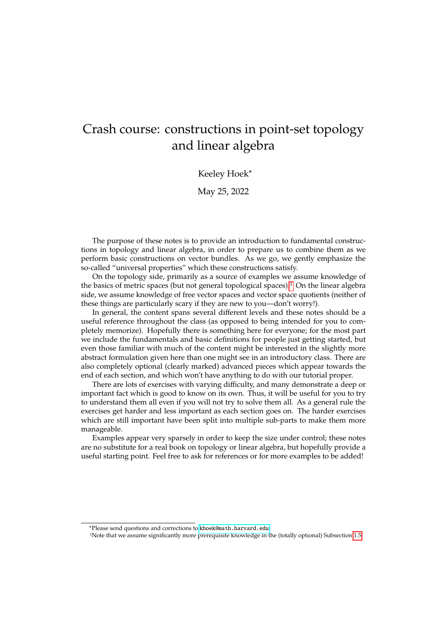# Crash course: constructions in point-set topology and linear algebra

### Keeley Hoek\*

May 25, 2022

The purpose of these notes is to provide an introduction to fundamental constructions in topology and linear algebra, in order to prepare us to combine them as we perform basic constructions on vector bundles. As we go, we gently emphasize the so-called "universal properties" which these constructions satisfy.

On the topology side, primarily as a source of examples we assume knowledge of the basics of metric spaces (but not general topological spaces).[1](#page-0-0) On the linear algebra side, we assume knowledge of free vector spaces and vector space quotients (neither of these things are particularly scary if they are new to you—don't worry!).

In general, the content spans several different levels and these notes should be a useful reference throughout the class (as opposed to being intended for you to completely memorize). Hopefully there is something here for everyone; for the most part we include the fundamentals and basic definitions for people just getting started, but even those familiar with much of the content might be interested in the slightly more abstract formulation given here than one might see in an introductory class. There are also completely optional (clearly marked) advanced pieces which appear towards the end of each section, and which won't have anything to do with our tutorial proper.

There are lots of exercises with varying difficulty, and many demonstrate a deep or important fact which is good to know on its own. Thus, it will be useful for you to try to understand them all even if you will not try to solve them all. As a general rule the exercises get harder and less important as each section goes on. The harder exercises which are still important have been split into multiple sub-parts to make them more manageable.

Examples appear very sparsely in order to keep the size under control; these notes are no substitute for a real book on topology or linear algebra, but hopefully provide a useful starting point. Feel free to ask for references or for more examples to be added!

<sup>\*</sup>Please send questions and corrections to [khoek@math.harvard.edu](mailto:khoek@math.harvard.edu).

<span id="page-0-0"></span><sup>&</sup>lt;sup>1</sup>Note that we assume significantly more prerequisite knowledge in the (totally optional) Subsection [1.5.](#page-14-0)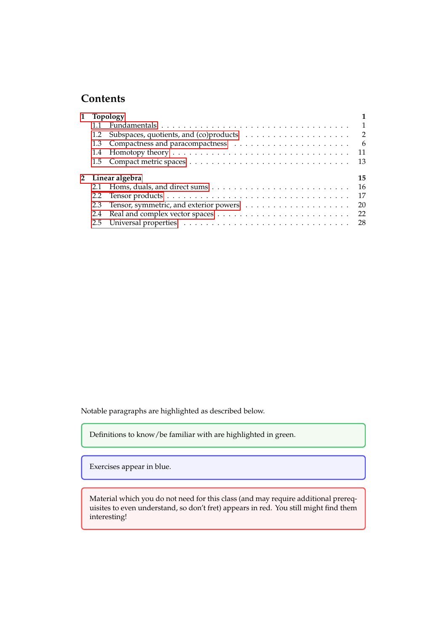# **Contents**

| 1 Topology |                  |     |  |
|------------|------------------|-----|--|
|            |                  |     |  |
|            |                  |     |  |
|            |                  |     |  |
|            |                  | 11  |  |
|            |                  | -13 |  |
|            |                  |     |  |
|            | 2 Linear algebra | 15  |  |
|            |                  |     |  |
|            |                  | 17  |  |
|            |                  | -20 |  |
|            |                  |     |  |

Notable paragraphs are highlighted as described below.

Definitions to know/be familiar with are highlighted in green.

Exercises appear in blue.

Material which you do not need for this class (and may require additional prerequisites to even understand, so don't fret) appears in red. You still might find them interesting!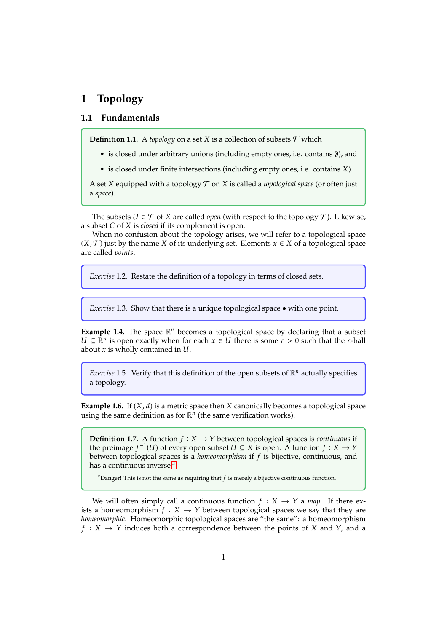## <span id="page-2-0"></span>**1 Topology**

### <span id="page-2-1"></span>**1.1 Fundamentals**

**Definition 1.1.** A *topology* on a set *X* is a collection of subsets  $T$  which

- is closed under arbitrary unions (including empty ones, i.e. contains ∅), and
- $\bullet$  is closed under finite intersections (including empty ones, i.e. contains  $X$ ).

A set  $X$  equipped with a topology  $T$  on  $X$  is called a *topological space* (or often just a *space*).

The subsets  $U \in \mathcal{T}$  of X are called *open* (with respect to the topology  $\mathcal{T}$ ). Likewise, a subset *C* of *X* is *closed* if its complement is open.

When no confusion about the topology arises, we will refer to a topological space  $(X, \mathcal{T})$  just by the name X of its underlying set. Elements  $x \in X$  of a topological space are called *points*.

*Exercise* 1.2*.* Restate the definition of a topology in terms of closed sets.

*Exercise* 1.3*.* Show that there is a unique topological space • with one point.

**Example 1.4.** The space  $\mathbb{R}^n$  becomes a topological space by declaring that a subset  $U \subseteq \mathbb{R}^n$  is open exactly when for each  $x \in U$  there is some  $\varepsilon > 0$  such that the  $\varepsilon$ -ball about x is wholly contained in II about  $x$  is wholly contained in  $U$ .

*Exercise* 1.5. Verify that this definition of the open subsets of  $\mathbb{R}^n$  actually specifies a topology.

**Example 1.6.** If  $(X, d)$  is a metric space then X canonically becomes a topological space using the same definition as for  $\mathbb{R}^n$  (the same verification works).

**Definition 1.7.** A function  $f : X \to Y$  between topological spaces is *continuous* if the preimage  $f^{-1}(U)$  of every open subset  $U \subseteq X$  is open. A function  $f : X \to Y$ <br>between topological spaces is a *homeomorphism* if f is bijective continuous and between topological spaces is a *homeomorphism* if is bijective, continuous, and has a continuous inverse.*[a](#page-2-2)*

<span id="page-2-2"></span> $a$ Danger! This is not the same as requiring that  $f$  is merely a bijective continuous function.

We will often simply call a continuous function  $f : X \rightarrow Y$  a *map*. If there exists a homeomorphism  $f : X \rightarrow Y$  between topological spaces we say that they are *homeomorphic*. Homeomorphic topological spaces are "the same": a homeomorphism  $f: X \rightarrow Y$  induces both a correspondence between the points of X and Y, and a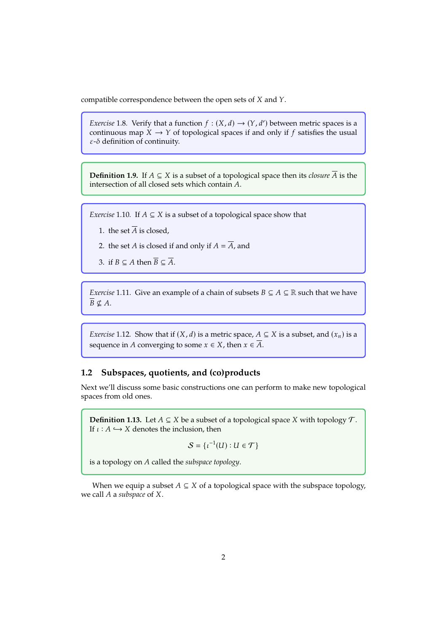compatible correspondence between the open sets of  $X$  and  $Y$ .

*Exercise* 1.8. Verify that a function  $f : (X, d) \rightarrow (Y, d')$  between metric spaces is a continuous man  $X \rightarrow Y$  of topological spaces if and only if f satisfies the usual continuous map  $X \to Y$  of topological spaces if and only if f satisfies the usual  $\varepsilon$ - $\delta$  definition of continuity.

**Definition 1.9.** If  $A \subseteq X$  is a subset of a topological space then its *closure*  $\overline{A}$  is the intersection of all closed sets which contain  $A$ .

*Exercise* 1.10*.* If  $A \subseteq X$  is a subset of a topological space show that

- 1. the set  $\overline{A}$  is closed,
- 2. the set *A* is closed if and only if  $A = \overline{A}$ , and
- 3. if  $B \subseteq A$  then  $\overline{B} \subseteq \overline{A}$ .

*Exercise* 1.11*.* Give an example of a chain of subsets  $B \subseteq A \subseteq \mathbb{R}$  such that we have  $\overline{B} \nsubseteq A$ .

*Exercise* 1.12*.* Show that if  $(X, d)$  is a metric space,  $A \subseteq X$  is a subset, and  $(x_n)$  is a sequence in A converging to some  $x \in X$ , then  $x \in \overline{A}$ .

### <span id="page-3-0"></span>**1.2 Subspaces, quotients, and (co)products**

Next we'll discuss some basic constructions one can perform to make new topological spaces from old ones.

**Definition 1.13.** Let  $A \subseteq X$  be a subset of a topological space X with topology  $\mathcal{T}$ . If  $\iota : A \hookrightarrow X$  denotes the inclusion, then

 $S = \{ \iota^{-1}(U) : U \in \mathcal{T} \}$ 

is a topology on A called the *subspace topology*.

When we equip a subset  $A \subseteq X$  of a topological space with the subspace topology, we call A a *subspace* of X.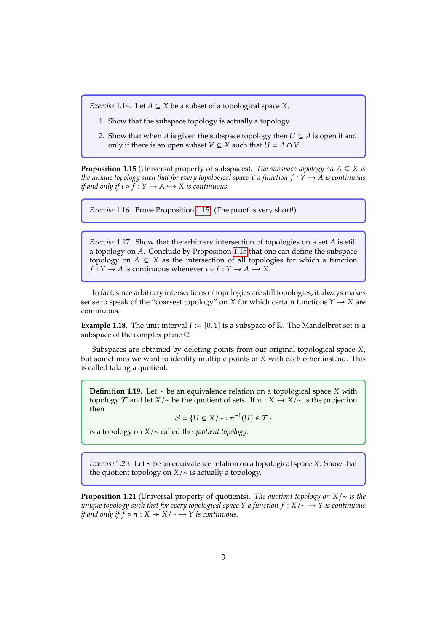*Exercise* 1.14*.* Let  $A \subseteq X$  be a subset of a topological space X.

- 1. Show that the subspace topology is actually a topology.
- 2. Show that when A is given the subspace topology then  $U \subseteq A$  is open if and only if there is an open subset  $V \subseteq X$  such that  $U = A \cap V$ .

<span id="page-4-0"></span>**Proposition 1.15** (Universal property of subspaces). *The subspace topology on*  $A \subseteq X$  *is the unique topology such that for every topological space*  $Y$  *a function*  $f: Y \rightarrow A$  *is continuous if and only if*  $\iota \circ f : Y \to A \hookrightarrow X$  *is continuous.* 

*Exercise* 1.16*.* Prove Proposition <sup>1</sup>.[15.](#page-4-0) (The proof is very short!)

<span id="page-4-2"></span>*Exercise* 1.17. Show that the arbitrary intersection of topologies on a set A is still a topology on A. Conclude by Proposition 1.[15](#page-4-0) that one can define the subspace topology on  $A \subseteq X$  as the intersection of all topologies for which a function  $f: Y \to A$  is continuous whenever  $\iota \circ f: Y \to A \hookrightarrow X$ .

In fact, since arbitrary intersections of topologies are still topologies, it always makes sense to speak of the "coarsest topology" on X for which certain functions  $Y \to X$  are continuous.

**Example 1.18.** The unit interval  $I := [0, 1]$  is a subspace of R. The Mandelbrot set is a subspace of the complex plane C.

Subspaces are obtained by deleting points from our original topological space  $X$ , but sometimes we want to identify multiple points of  $X$  with each other instead. This is called taking a quotient.

**Definition 1.19.** Let ∼ be an equivalence relation on a topological space *X* with topology  $\mathcal T$  and let  $X/\sim$  be the quotient of sets. If  $\pi : X \to X/\sim$  is the projection then

 $S = \{ U \subseteq X / \sim : \pi^{-1}(U) \in \mathcal{T} \}$ 

is a topology on /∼ called the *quotient topology*.

*Exercise* 1.20*.* Let ∼ be an equivalence relation on a topological space *X*. Show that the quotient topology on  $\overline{X}/\sim$  is actually a topology.

<span id="page-4-1"></span>**Proposition 1.21** (Universal property of quotients). *The quotient topology on X*/∼ *is the unique topology such that for every topological space Y a function*  $f : X / ∼ → Y$  *is continuous if and only if*  $f \circ \pi : X \rightarrow X/\sim \rightarrow Y$  *is continuous.*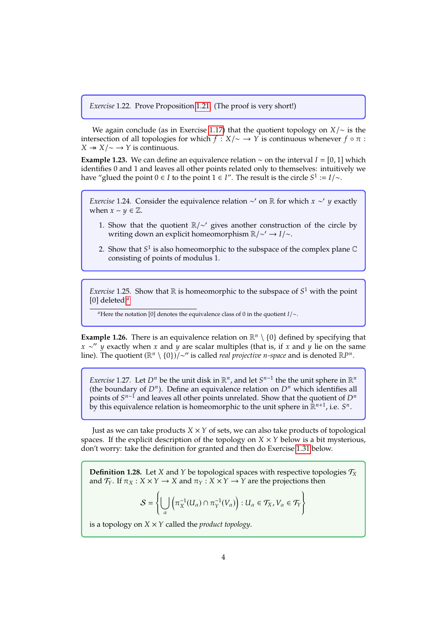*Exercise* 1.22*.* Prove Proposition <sup>1</sup>.[21.](#page-4-1) (The proof is very short!)

We again conclude (as in Exercise 1.[17\)](#page-4-2) that the quotient topology on  $X/\sim$  is the intersection of all topologies for which  $f : X/\sim \rightarrow Y$  is continuous whenever  $f \circ \pi$ :  $X \rightarrow X/\sim \rightarrow Y$  is continuous.

<span id="page-5-2"></span>**Example 1.23.** We can define an equivalence relation  $\sim$  on the interval  $I = [0, 1]$  which identifies 0 and 1 and leaves all other points related only to themselves: intuitively we have "glued the point  $0 \in I$  to the point  $1 \in I$ ". The result is the circle  $S^1 := I/\sim$ .

*Exercise* 1.24. Consider the equivalence relation ∼' on ℝ for which *x* ∼' *y* exactly when *x* – *y* ∈ <del></del> <sup>*π*</sup> when  $x - y \in \mathbb{Z}$ .

- 1. Show that the quotient R/∼′ gives another construction of the circle by writing down an explicit homeomorphism  $\mathbb{R}/\sim' \rightarrow I/\sim$ .
- 2. Show that  $S^1$  is also homeomorphic to the subspace of the complex plane  $\mathbb C$  consisting of points of modulus 1 consisting of points of modulus 1.

*Exercise* 1.25. Show that  $\mathbb R$  is homeomorphic to the subspace of  $S^1$  with the point  $[0]$  deleted <sup>*a*</sup> [0] deleted.*[a](#page-5-0)*

<span id="page-5-0"></span><sup>*a*</sup>Here the notation [0] denotes the equivalence class of 0 in the quotient  $I/\sim$ .

**Example 1.26.** There is an equivalence relation on  $\mathbb{R}^n \setminus \{0\}$  defined by specifying that  $x \sim'' y$  exactly when x and y are scalar multiples (that is, if x and y lie on the same<br>line) The quotient ( $\mathbb{R}^n \setminus \{0\} \setminus \sim''$  is called *real projective n-space* and is denoted  $\mathbb{R}^{n}$ line). The quotient  $(\mathbb{R}^n \setminus \{0\})/\sim$ " is called *real projective n*-space and is denoted  $\mathbb{R}P^n$ .

*Exercise* 1.27. Let  $D^n$  be the unit disk in  $\mathbb{R}^n$ , and let  $S^{n-1}$  the the unit sphere in  $\mathbb{R}^n$ <br>(the boundary of  $D^n$ ). Define an equivalence relation on  $D^n$  which identifies all (the boundary of  $D^n$ ). Define an equivalence relation on  $D^n$  which identifies all<br>points of  $S^{n-1}$  and leaves all other points unrelated. Show that the quotient of  $D^n$ points of  $S^{n-1}$  and leaves all other points unrelated. Show that the quotient of  $D^n$ <br>by this equivalence relation is homeomorphic to the unit sphere in  $\mathbb{R}^{n+1}$  i.e.  $S^n$ by this equivalence relation is homeomorphic to the unit sphere in  $\mathbb{R}^{n+1}$ , i.e.  $S^n$ .

Just as we can take products  $X \times Y$  of sets, we can also take products of topological spaces. If the explicit description of the topology on  $X \times Y$  below is a bit mysterious, don't worry: take the definition for granted and then do Exercise <sup>1</sup>.[31](#page-6-0) below.

<span id="page-5-1"></span>**Definition 1.28.** Let X and Y be topological spaces with respective topologies  $\mathcal{T}_X$ and  $\mathcal{T}_Y$ . If  $\pi_X : X \times Y \to X$  and  $\pi_Y : X \times Y \to Y$  are the projections then

$$
\mathcal{S} = \left\{ \bigcup_{\alpha} \left( \pi_X^{-1}(U_{\alpha}) \cap \pi_Y^{-1}(V_{\alpha}) \right) : U_{\alpha} \in \mathcal{T}_X, V_{\alpha} \in \mathcal{T}_Y \right\}
$$

is a topology on  $X \times Y$  called the *product topology*.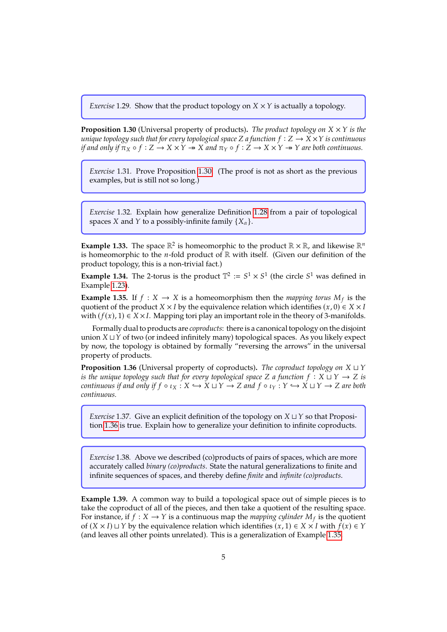*Exercise* 1.29. Show that the product topology on  $X \times Y$  is actually a topology.

<span id="page-6-1"></span>**Proposition 1.30** (Universal property of products). *The product topology on*  $X \times Y$  *is the unique topology such that for every topological space*  $Z$  *a function*  $f : Z \rightarrow X \times Y$  *is continuous if and only if*  $\pi_X \circ f : Z \to X \times Y \twoheadrightarrow X$  *and*  $\pi_Y \circ f : Z \to X \times Y \twoheadrightarrow Y$  *are both continuous.* 

<span id="page-6-0"></span>*Exercise* 1.31*.* Prove Proposition <sup>1</sup>.[30.](#page-6-1) (The proof is not as short as the previous examples, but is still not so long.)

*Exercise* 1.32*.* Explain how generalize Definition <sup>1</sup>.[28](#page-5-1) from a pair of topological spaces *X* and *Y* to a possibly-infinite family  $\{X_\alpha\}$ .

**Example 1.33.** The space  $\mathbb{R}^2$  is homeomorphic to the product  $\mathbb{R} \times \mathbb{R}$ , and likewise  $\mathbb{R}^n$ is homeomorphic to the *n*-fold product of  $\mathbb{R}$  with itself. (Given our definition of the product topology, this is a non-trivial fact.)

**Example 1.34.** The 2-torus is the product  $\mathbb{T}^2 := S^1 \times S^1$  (the circle  $S^1$  was defined in Example 1.23) Example <sup>1</sup>.[23\)](#page-5-2).

<span id="page-6-3"></span>**Example 1.35.** If  $f : X \to X$  is a homeomorphism then the *mapping torus*  $M_f$  is the quotient of the product  $X \times I$  by the equivalence relation which identifies  $(x, 0) \in X \times I$ quotient of the product  $X \times I$  by the equivalence relation which identifies  $(x, 0) \in X \times I$ with  $(f(x), 1) \in X \times I$ . Mapping tori play an important role in the theory of 3-manifolds.

Formally dual to products are *coproducts*: there is a canonical topology on the disjoint union  $X \sqcup Y$  of two (or indeed infinitely many) topological spaces. As you likely expect by now, the topology is obtained by formally "reversing the arrows" in the universal property of products.

<span id="page-6-2"></span>**Proposition 1.36** (Universal property of coproducts). *The coproduct topology on*  $X \sqcup Y$ *is the unique topology such that for every topological space*  $Z$  *a function*  $f : X \sqcup Y \rightarrow Z$  *is continuous if and only if*  $f \circ \iota_X : X \hookrightarrow X \sqcup Y \to Z$  and  $f \circ \iota_Y : Y \hookrightarrow X \sqcup Y \to Z$  are both *continuous.*

*Exercise* 1.37. Give an explicit definition of the topology on  $X \sqcup Y$  so that Proposition <sup>1</sup>.[36](#page-6-2) is true. Explain how to generalize your definition to infinite coproducts.

*Exercise* 1.38*.* Above we described (co)products of pairs of spaces, which are more accurately called *binary (co)products*. State the natural generalizations to finite and infinite sequences of spaces, and thereby define *finite* and *infinite (co)products*.

**Example 1.39.** A common way to build a topological space out of simple pieces is to take the coproduct of all of the pieces, and then take a quotient of the resulting space. For instance, if  $f : X \to Y$  is a continuous map the *mapping cylinder*  $M_f$  is the quotient of  $(X \times I) \cup Y$  by the equivalence relation which identifies  $(x, 1) \in X \times I$  with  $f(x) \in Y$ of  $(X \times I) \sqcup Y$  by the equivalence relation which identifies  $(x, 1) \in X \times I$  with  $f(x) \in Y$ (and leaves all other points unrelated). This is a generalization of Example <sup>1</sup>.[35.](#page-6-3)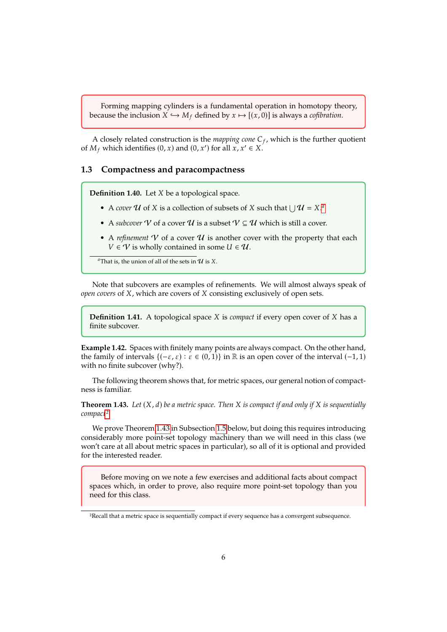Forming mapping cylinders is a fundamental operation in homotopy theory, because the inclusion  $X \hookrightarrow M_f$  defined by  $x \mapsto [(x, 0)]$  is always a *cofibration*.

A closely related construction is the *mapping cone*  $C_f$ , which is the further quotient  $M_c$  which identifies  $(0, x)$  and  $(0, x')$  for all  $x, x' \in X$ of  $M_f$  which identifies  $(0, x)$  and  $(0, x')$  for all  $x, x' \in X$ .

#### <span id="page-7-0"></span>**1.3 Compactness and paracompactness**

**Definition 1.40.** Let *X* be a topological space.

- A *cover*  $U$  of  $X$  is [a](#page-7-1) collection of subsets of  $X$  such that  $\bigcup U = X^a$ .
- A *subcover*  $\mathcal V$  of a cover  $\mathcal U$  is a subset  $\mathcal V \subseteq \mathcal U$  which is still a cover.
- A *refinement*  $V$  of a cover  $U$  is another cover with the property that each  $V \in V$  is wholly contained in some  $U \in U$ .

<span id="page-7-1"></span><sup>*a*</sup>That is, the union of all of the sets in  $U$  is X.

Note that subcovers are examples of refinements. We will almost always speak of *open covers* of *X*, which are covers of *X* consisting exclusively of open sets.

**Definition 1.41.** A topological space *X* is *compact* if every open cover of *X* has a finite subcover.

**Example 1.42.** Spaces with finitely many points are always compact. On the other hand, the family of intervals  ${(-\varepsilon, \varepsilon) : \varepsilon \in (0, 1)}$  in ℝ is an open cover of the interval  $(-1, 1)$ with no finite subcover (why?).

The following theorem shows that, for metric spaces, our general notion of compactness is familiar.

<span id="page-7-3"></span>**Theorem 1.43.** Let  $(X, d)$  be a metric space. Then X is compact if and only if X is sequentially *compact[2](#page-7-2).*

We prove Theorem <sup>1</sup>.[43](#page-7-3) in Subsection [1.5](#page-14-0) below, but doing this requires introducing considerably more point-set topology machinery than we will need in this class (we won't care at all about metric spaces in particular), so all of it is optional and provided for the interested reader.

Before moving on we note a few exercises and additional facts about compact spaces which, in order to prove, also require more point-set topology than you need for this class.

<span id="page-7-2"></span><sup>2</sup>Recall that a metric space is sequentially compact if every sequence has a convergent subsequence.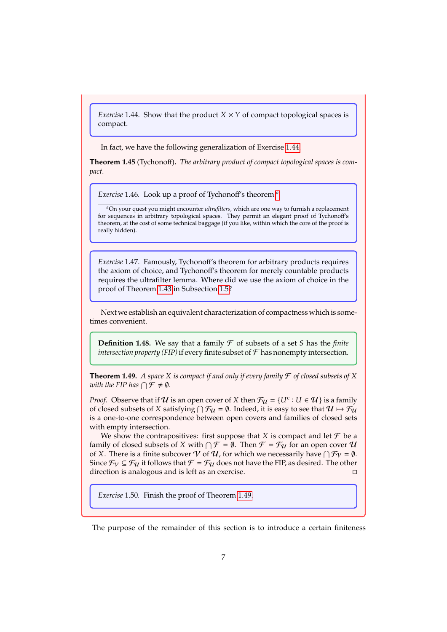<span id="page-8-0"></span>*Exercise* 1.44*.* Show that the product  $X \times Y$  of compact topological spaces is compact.

In fact, we have the following generalization of Exercise <sup>1</sup>.[44.](#page-8-0)

**Theorem 1.45** (Tychonoff)**.** *The arbitrary product of compact topological spaces is compact.*

*Exercise* 1.46*.* Look up a proof of Tychonoff's theorem.*[a](#page-8-1)*

<span id="page-8-1"></span>*<sup>a</sup>*On your quest you might encounter *ultrafilters*, which are one way to furnish a replacement for sequences in arbitrary topological spaces. They permit an elegant proof of Tychonoff's theorem, at the cost of some technical baggage (if you like, within which the core of the proof is really hidden).

*Exercise* 1.47*.* Famously, Tychonoff's theorem for arbitrary products requires the axiom of choice, and Tychonoff's theorem for merely countable products requires the ultrafilter lemma. Where did we use the axiom of choice in the proof of Theorem <sup>1</sup>.[43](#page-7-3) in Subsection [1.5?](#page-14-0)

Next we establish an equivalent characterization of compactness which is sometimes convenient.

**Definition 1.48.** We say that a family  $\mathcal F$  of subsets of a set *S* has the *finite intersection property (FIP)* if every finite subset of  $\mathcal F$  has nonempty intersection.

<span id="page-8-2"></span>**Theorem 1.49.** *A space*  $X$  *is compact if and only if every family*  $\mathcal F$  *of closed subsets of*  $X$ *with the FIP has*  $\bigcap \mathcal{F} \neq \emptyset$ *.* 

*Proof.* Observe that if  $U$  is an open cover of  $X$  then  $\mathcal{F}_U = \{U^c : U \in U\}$  is a family of closed subsets of  $X$  satisfying  $\bigcap \mathcal{F}_{U} = \emptyset$  Indeed it is easy to see that  $U \mapsto \mathcal{F}_{U}$ of closed subsets of X satisfying  $\bigcap \mathcal{F}_u = \emptyset$ . Indeed, it is easy to see that  $u \mapsto \mathcal{F}_u$ <br>is a one-to-one correspondence between open covers and families of closed sets is a one-to-one correspondence between open covers and families of closed sets with empty intersection.

We show the contrapositives: first suppose that  $X$  is compact and let  $\mathcal F$  be a family of closed subsets of X with  $\bigcap \mathcal{F} = \emptyset$ . Then  $\mathcal{F} = \mathcal{F}_u$  for an open cover  $\mathcal{U}$  of X. There is a finite subcover  $\mathcal{V}$  of  $\mathcal{I}$  for which we necessarily have  $\bigcap \mathcal{F}_u = \emptyset$ . of X. There is a finite subcover  $V$  of  $U$ , for which we necessarily have  $\bigcap \mathcal{F}_V = \emptyset$ .<br>Since  $\mathcal{F}_U \subset \mathcal{F}_U$  it follows that  $\mathcal{F} = \mathcal{F}_U$  does not have the EIP as desired. The other Since  $\mathcal{F}_{\mathcal{V}} \subseteq \mathcal{F}_{\mathcal{U}}$  it follows that  $\mathcal{F} = \mathcal{F}_{\mathcal{U}}$  does not have the FIP, as desired. The other direction is analogous and is left as an exercise. □

*Exercise* 1.50*.* Finish the proof of Theorem <sup>1</sup>.[49.](#page-8-2)

The purpose of the remainder of this section is to introduce a certain finiteness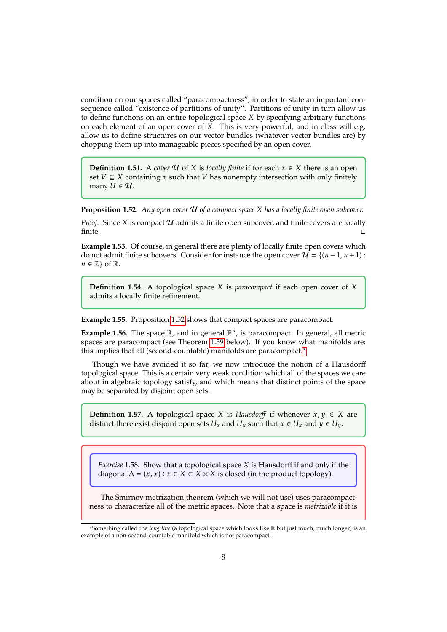condition on our spaces called "paracompactness", in order to state an important consequence called "existence of partitions of unity". Partitions of unity in turn allow us to define functions on an entire topological space  $X$  by specifying arbitrary functions on each element of an open cover of  $\overline{X}$ . This is very powerful, and in class will e.g. allow us to define structures on our vector bundles (whatever vector bundles are) by chopping them up into manageable pieces specified by an open cover.

**Definition 1.51.** A *cover*  $U$  of  $X$  is *locally finite* if for each  $x \in X$  there is an open set  $V \subseteq X$  containing x such that V has nonempty intersection with only finitely many  $U \in \mathcal{U}$ .

<span id="page-9-0"></span>**Proposition 1.52.** *Any open cover*  $U$  of a compact space X has a locally finite open subcover.

*Proof.* Since *X* is compact  $U$  admits a finite open subcover, and finite covers are locally finite. finite.  $\Box$ 

**Example 1.53.** Of course, in general there are plenty of locally finite open covers which do not admit finite subcovers. Consider for instance the open cover  $\mathcal{U} = \{(n-1, n+1):$  $n \in \mathbb{Z}$  of R.

**Definition 1.54.** A topological space *X* is *paracompact* if each open cover of *X* admits a locally finite refinement.

**Example 1.55.** Proposition <sup>1</sup>.[52](#page-9-0) shows that compact spaces are paracompact.

**Example 1.56.** The space  $\mathbb{R}$ , and in general  $\mathbb{R}^n$ , is paracompact. In general, all metric spaces are paracompact (see Theorem <sup>1</sup>.[59](#page-10-0) below). If you know what manifolds are: this implies that all (second-countable) manifolds are paracompact.[3](#page-9-1)

Though we have avoided it so far, we now introduce the notion of a Hausdorff topological space. This is a certain very weak condition which all of the spaces we care about in algebraic topology satisfy, and which means that distinct points of the space may be separated by disjoint open sets.

**Definition 1.57.** A topological space X is *Hausdorff* if whenever  $x, y \in X$  are distinct there exist disjoint open sets  $U_x$  and  $U_y$  such that  $x \in U_x$  and  $y \in U_y$ .

*Exercise* 1.58. Show that a topological space *X* is Hausdorff if and only if the diagonal  $\Delta = (x, x) : x \in X \subset X \times X$  is closed (in the product topology).

The Smirnov metrization theorem (which we will not use) uses paracompactness to characterize all of the metric spaces. Note that a space is *metrizable* if it is

<span id="page-9-1"></span><sup>3</sup>Something called the *long line* (a topological space which looks like R but just much, much longer) is an example of a non-second-countable manifold which is not paracompact.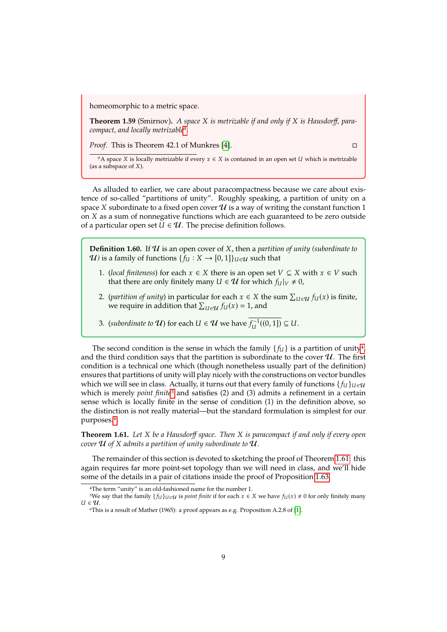homeomorphic to a metric space.

<span id="page-10-0"></span>**Theorem 1.59** (Smirnov)**.** *A space is metrizable if and only if is Hausdorff, paracompact, and locally metrizable[a](#page-10-1) .*

*Proof.* This is Theorem 42.1 of Munkres [\[4\]](#page-36-0). □

<span id="page-10-1"></span> $^a$ A space *X* is locally metrizable if every  $x \in X$  is contained in an open set *U* which is metrizable (as a subspace of  $X$ ).

As alluded to earlier, we care about paracompactness because we care about existence of so-called "partitions of unity". Roughly speaking, a partition of unity on a space X subordinate to a fixed open cover  $\mathcal U$  is a way of writing the constant function 1 on  $X$  as a sum of nonnegative functions which are each guaranteed to be zero outside of a particular open set  $U \in \mathcal{U}$ . The precise definition follows.

<span id="page-10-6"></span>**Definition 1.60.** If  $U$  is an open cover of  $X$ , then a *partition of unity (subordinate to U*) is a family of functions  $\{f_U : X \to [0,1]\}_{U \in \mathcal{U}}$  such that

- 1. (*local finiteness*) for each  $x \in X$  there is an open set  $V \subseteq X$  with  $x \in V$  such that there are only finitely many  $U \in \mathcal{U}$  for which  $f_U|_V \neq 0$ ,
- 2. (*partition of unity*) in particular for each  $x \in X$  the sum  $\sum_{U \in \mathcal{U}} f_U(x)$  is finite, we require in addition that  $\sum_{U \in \mathcal{U}} f_U(x) = 1$  and we require in addition that  $\sum_{U \in \mathcal{U}} f_U(x) = 1$ , and
- 3. (*subordinate to*  $U$ ) for each  $U \in U$  we have  $\overline{f_U^{-1}((0,1])} \subseteq U$ .

The second condition is the sense in which the family  $\{f_{\mathcal{U}}\}$  is a partition of unity<sup>[4](#page-10-2)</sup>, and the third condition says that the partition is subordinate to the cover  $\mathcal{U}$ . The first condition is a technical one which (though nonetheless usually part of the definition) ensures that partitions of unity will play nicely with the constructions on vector bundles which we will see in class. Actually, it turns out that every family of functions  $\{f_{U}\}_{U\in\mathcal{U}}$ which is merely *point finite*[5](#page-10-3) and satisfies (2) and (3) admits a refinement in a certain sense which is locally finite in the sense of condition (1) in the definition above, so the distinction is not really material—but the standard formulation is simplest for our purposes.<sup>[6](#page-10-4)</sup>.

<span id="page-10-5"></span>**Theorem 1.61.** *Let be a Hausdorff space. Then is paracompact if and only if every open cover*  $U$  of  $X$  admits a partition of unity subordinate to  $U$ .

The remainder of this section is devoted to sketching the proof of Theorem <sup>1</sup>.[61:](#page-10-5) this again requires far more point-set topology than we will need in class, and we'll hide some of the details in a pair of citations inside the proof of Proposition <sup>1</sup>.[63.](#page-11-0)

<span id="page-10-3"></span><span id="page-10-2"></span><sup>4</sup>The term "unity" is an old-fashioned name for the number 1.

<sup>&</sup>lt;sup>5</sup>We say that the family  $\{f_U\}_{U\in\mathcal{U}}$  is *point finite* if for each  $x \in X$  we have  $f_U(x) \neq 0$  for only finitely many  $U \in \mathcal{U}$ .

<span id="page-10-4"></span><sup>6</sup>This is a result of Mather (1965): a proof appears as e.g. Proposition A.2.8 of [\[1\]](#page-36-1).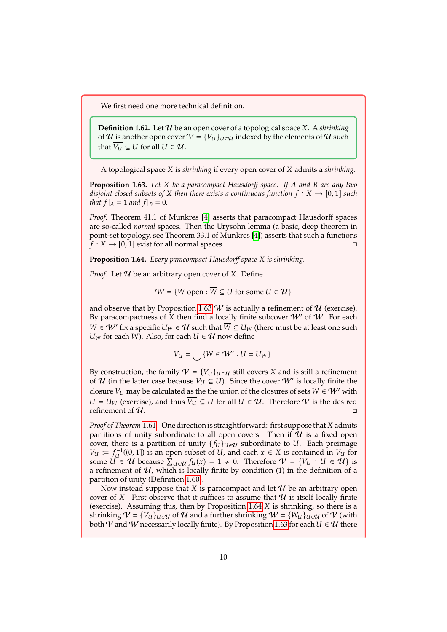We first need one more technical definition.

**Definition 1.62.** Let  $\mathcal{U}$  be an open cover of a topological space X. A *shrinking* of  $U$  is another open cover  $V = {V_U}_{U \in U}$  indexed by the elements of  $U$  such that  $\overline{V_U} \subseteq U$  for all  $U \in \mathcal{U}$ .

A topological space *X* is *shrinking* if every open cover of *X* admits a *shrinking*.

<span id="page-11-0"></span>**Proposition 1.63.** Let *X* be a paracompact Hausdorff space. If *A* and *B* are any two *disjoint closed subsets of* X *then there exists a continuous function*  $f: X \rightarrow [0, 1]$  *such that*  $f|_A = 1$  *and*  $f|_B = 0$ *.* 

*Proof.* Theorem 41.1 of Munkres [\[4\]](#page-36-0) asserts that paracompact Hausdorff spaces are so-called *normal* spaces. Then the Urysohn lemma (a basic, deep theorem in point-set topology, see Theorem 33.1 of Munkres [\[4\]](#page-36-0)) asserts that such a functions  $f: X \rightarrow [0, 1]$  exist for all normal spaces.

<span id="page-11-1"></span>**Proposition 1.64.** *Every paracompact Hausdorff space is shrinking.*

*Proof.* Let  $U$  be an arbitrary open cover of  $X$ . Define

 $W = \{ W \text{ open} : \overline{W} \subseteq U \text{ for some } U \in \mathcal{U} \}$ 

and observe that by Proposition 1.[63](#page-11-0)  $W$  is actually a refinement of  $U$  (exercise). By paracompactness of X then find a locally finite subcover  $W'$  of  $W$ . For each  $W \in W'$  fix a specific  $U_W \in \mathcal{U}$  such that  $\overline{W} \subseteq U_W$  (there must be at least one such  $U_W$  for each W). Also, for each  $U \in \mathcal{U}$  now define

$$
V_U = \bigcup \{ W \in W' : U = U_W \}.
$$

By construction, the family  $V = \{V_u\}_{u \in \mathcal{U}}$  still covers X and is still a refinement of  $U$  (in the latter case because  $V_U \subseteq U$ ). Since the cover  $W'$  is locally finite the closure  $\overline{V_U}$  may be calculated as the the union of the closures of sets  $W \in \mathcal{W}'$  with *U* = *U<sub>W</sub>* (exercise), and thus  $\overline{V_U}$  ⊆ *U* for all *U* ∈ *U*. Therefore *V* is the desired refinement of *U*. refinement of  $U$ .

*Proof of Theorem* 1.[61](#page-10-5). One direction is straightforward: first suppose that X admits partitions of unity subordinate to all open covers. Then if  $\mathcal U$  is a fixed open cover, there is a partition of unity  $\{f_{\mathcal{U}}\}_{\mathcal{U}\in\mathcal{U}}$  subordinate to U. Each preimage  $V_U := f_U^{-1}((0, 1])$  is an open subset of U, and each  $x \in X$  is contained in  $V_U$  for some  $U \in \mathcal{U}$  because  $\sum_{v \in \mathcal{U}} f_v(x) = 1 \neq 0$ . Therefore  $\mathcal{U} = \{V_U : U \in \mathcal{U}\}$  is some  $\mathcal{U} \in \mathcal{U}$  because  $\sum_{\mathcal{U} \in \mathcal{U}} f_{\mathcal{U}}(x) = 1 \neq 0$ . Therefore  $\mathcal{V} = \{V_{\mathcal{U}} : \mathcal{U} \in \mathcal{U}\}$  is a refinement of  $U$ , which is locally finite by condition (1) in the definition of a partition of unity (Definition <sup>1</sup>.[60\)](#page-10-6).

Now instead suppose that  $X$  is paracompact and let  $\mathcal U$  be an arbitrary open cover of X. First observe that it suffices to assume that  $\mathcal U$  is itself locally finite (exercise). Assuming this, then by Proposition  $1.64$  $1.64$  X is shrinking, so there is a shrinking  $V = \{V_U\}_{U \in \mathcal{U}}$  of  $\mathcal{U}$  and a further shrinking  $W = \{W_U\}_{U \in \mathcal{U}}$  of  $\mathcal{V}$  (with both V and W necessarily locally finite). By Proposition 1.[63](#page-11-0) for each  $U \in \mathcal{U}$  there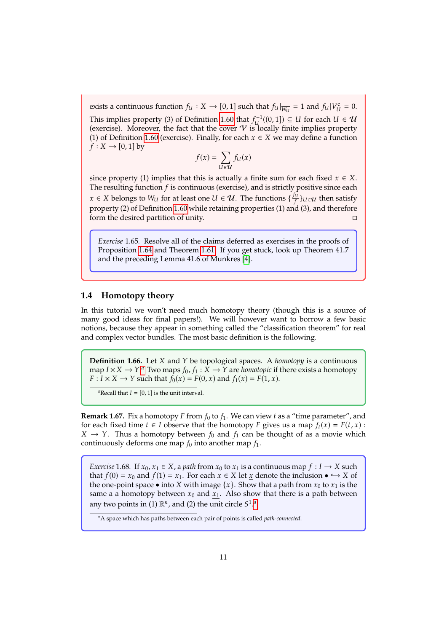exists a continuous function  $f_U : X \to [0, 1]$  such that  $f_U|_{\overline{W_U}} = 1$  and  $f_U|_{V_U} = 0$ . This implies property (3) of Definition 1.[60](#page-10-6) that  $\overline{f_{U}^{-1}((0,1))} \subseteq U$  for each  $U \in \mathcal{U}$ <br>(exercise) Moreover the fact that the cover V is locally finite implies property (exercise). Moreover, the fact that the cover  $\mathcal V$  is locally finite implies property (1) of Definition 1.[60](#page-10-6) (exercise). Finally, for each  $x \in X$  we may define a function  $f: X \rightarrow [0,1]$  by

$$
f(x) = \sum_{U \in \mathcal{U}} f_U(x)
$$

since property (1) implies that this is actually a finite sum for each fixed  $x \in X$ . The resulting function  $f$  is continuous (exercise), and is strictly positive since each  $x \in X$  belongs to  $W_U$  for at least one  $U \in \mathcal{U}$ . The functions  $\{\frac{fu}{f}\}_{U \in \mathcal{U}}$  then satisfy<br>generate (2) of Definition 1.0 while getaining a generation (1) and (2) and therefore property (2) of Definition <sup>1</sup>.[60](#page-10-6) while retaining properties (1) and (3), and therefore form the desired partition of unity. □

*Exercise* 1.65*.* Resolve all of the claims deferred as exercises in the proofs of Proposition <sup>1</sup>.[64](#page-11-1) and Theorem <sup>1</sup>.[61.](#page-10-5) If you get stuck, look up Theorem 41.7 and the preceding Lemma 41.6 of Munkres [\[4\]](#page-36-0).

#### <span id="page-12-0"></span>**1.4 Homotopy theory**

In this tutorial we won't need much homotopy theory (though this is a source of many good ideas for final papers!). We will however want to borrow a few basic notions, because they appear in something called the "classification theorem" for real and complex vector bundles. The most basic definition is the following.

**Definition 1.66.** Let *X* and *Y* be topological spaces. A *homotopy* is a continuous m[a](#page-12-1)p  $I \times X \to Y$ .<sup>*a*</sup> Two maps  $f_0, f_1 : \hat{X} \to Y$  are *homotopic* if there exists a homotopy<br> $F: I \times X \to Y$  such that  $f_0(x) = F(0, x)$  and  $f_1(x) = F(1, x)$  $F: I \times X \rightarrow Y$  such that  $f_0(x) = F(0, x)$  and  $f_1(x) = F(1, x)$ .

<span id="page-12-1"></span><sup>*a*</sup>Recall that  $I = [0, 1]$  is the unit interval.

**Remark 1.67.** Fix a homotopy F from  $f_0$  to  $f_1$ . We can view t as a "time parameter", and for each fixed time  $t \in I$  observe that the homotopy  $F$  gives us a map  $f_t(x) = F(t, x)$ :  $X \rightarrow Y$ . Thus a homotopy between  $f_0$  and  $f_1$  can be thought of as a movie which continuously deforms one map  $f_0$  into another map  $f_1$ .

*Exercise* 1.68*.* If  $x_0, x_1 \in X$ , a *path* from  $x_0$  to  $x_1$  is a continuous map  $f: I \to X$  such that  $f(0) = x_0$  and  $f(1) = x_1$ . For each  $x \in X$  let  $\underline{x}$  denote the inclusion  $\bullet \hookrightarrow X$  of the one-point space • into *X* with image  $\{x\}$ . Show that a path from  $x_0$  to  $x_1$  is the same a a homotopy between  $x_0$  and  $x_1$ . Also show that there is a path between [a](#page-12-2)ny two points in (1)  $\mathbb{R}^n$ , and (2) the unit circle  $S^1$ .<sup>*a*</sup>

<span id="page-12-2"></span>*<sup>a</sup>*A space which has paths between each pair of points is called *path-connected*.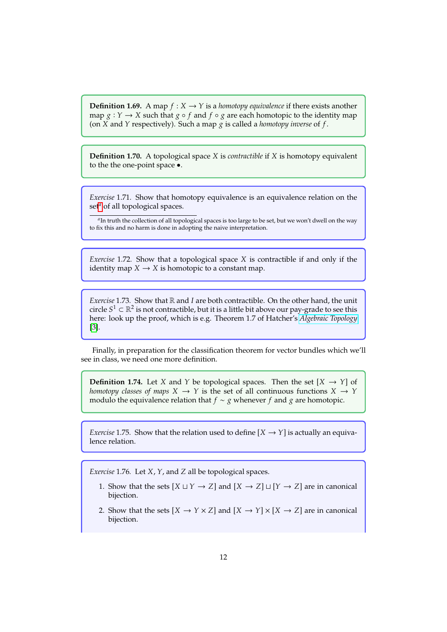**Definition 1.69.** A map  $f : X \to Y$  is a *homotopy equivalence* if there exists another map  $g: Y \to X$  such that  $g \circ f$  and  $f \circ g$  are each homotopic to the identity map (on  $X$  and  $Y$  respectively). Such a map  $g$  is called a *homotopy inverse* of  $f$ .

**Definition 1.70.** A topological space *X* is *contractible* if *X* is homotopy equivalent to the the one-point space •.

*Exercise* 1.71*.* Show that homotopy equivalence is an equivalence relation on the set<sup>*[a](#page-13-0)*</sup> of all topological spaces.

<span id="page-13-0"></span>*a* In truth the collection of all topological spaces is too large to be set, but we won't dwell on the way to fix this and no harm is done in adopting the naive interpretation.

*Exercise* 1.72. Show that a topological space *X* is contractible if and only if the identity map  $X \to X$  is homotopic to a constant map.

*Exercise* 1.73. Show that  $\mathbb R$  and  $I$  are both contractible. On the other hand, the unit circle  $S^1 \subset \mathbb{R}^2$  is not contractible, but it is a little bit above our pay-grade to see this here: look up the proof, which is e.g. Theorem 1.7 of Hatcher's *Algebraic Topology* here: look up the proof, which is e.g. Theorem 1.7 of Hatcher's *[Algebraic Topology](https://pi.math.cornell.edu/~hatcher/AT/AT.pdf)* [\[3\]](#page-36-2).

Finally, in preparation for the classification theorem for vector bundles which we'll see in class, we need one more definition.

**Definition 1.74.** Let X and Y be topological spaces. Then the set  $[X \rightarrow Y]$  of *homotopy classes of maps*  $X \to Y$  is the set of all continuous functions  $X \to Y$ modulo the equivalence relation that  $f \sim g$  whenever f and g are homotopic.

*Exercise* 1.75*.* Show that the relation used to define  $[X \rightarrow Y]$  is actually an equivalence relation.

*Exercise* 1.76*.* Let *X*, *Y*, and *Z* all be topological spaces.

- 1. Show that the sets  $[X \sqcup Y \rightarrow Z]$  and  $[X \rightarrow Z] \sqcup [Y \rightarrow Z]$  are in canonical bijection.
- 2. Show that the sets  $[X \to Y \times Z]$  and  $[X \to Y] \times [X \to Z]$  are in canonical bijection.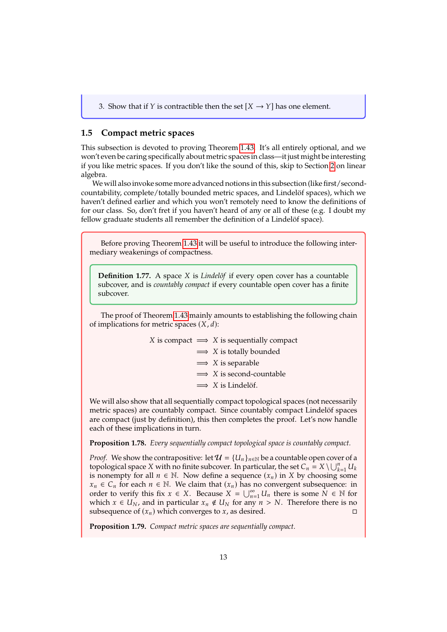3. Show that if *Y* is contractible then the set  $[X \rightarrow Y]$  has one element.

#### <span id="page-14-0"></span>**1.5 Compact metric spaces**

This subsection is devoted to proving Theorem <sup>1</sup>.[43.](#page-7-3) It's all entirely optional, and we won't even be caring specifically about metric spaces in class—it just might be interesting if you like metric spaces. If you don't like the sound of this, skip to Section [2](#page-16-0) on linear algebra.

We will also invoke some more advanced notions in this subsection (like first/secondcountability, complete/totally bounded metric spaces, and Lindelöf spaces), which we haven't defined earlier and which you won't remotely need to know the definitions of for our class. So, don't fret if you haven't heard of any or all of these (e.g. I doubt my fellow graduate students all remember the definition of a Lindelöf space).

Before proving Theorem <sup>1</sup>.[43](#page-7-3) it will be useful to introduce the following intermediary weakenings of compactness.

**Definition 1.77.** A space *X* is *Lindelöf* if every open cover has a countable subcover, and is *countably compact* if every countable open cover has a finite subcover.

The proof of Theorem <sup>1</sup>.[43](#page-7-3) mainly amounts to establishing the following chain of implications for metric spaces  $(X, d)$ :

|  | X is compact $\implies$ X is sequentially compact |
|--|---------------------------------------------------|
|  | $\implies$ X is totally bounded                   |
|  | $\implies$ X is separable                         |
|  | $\implies$ X is second-countable                  |
|  | $\implies$ X is Lindelöf.                         |
|  |                                                   |

We will also show that all sequentially compact topological spaces (not necessarily metric spaces) are countably compact. Since countably compact Lindelöf spaces are compact (just by definition), this then completes the proof. Let's now handle each of these implications in turn.

<span id="page-14-2"></span>**Proposition 1.78.** *Every sequentially compact topological space is countably compact.*

*Proof.* We show the contrapositive: let  $\mathcal{U} = \{U_n\}_{n \in \mathbb{N}}$  be a countable open cover of a topological space X with no finite subcover. In particular, the set  $C_n = X \cup \bigcup_{k=1}^{n} X_k$  is nonempty for all  $n \in \mathbb{N}$ . Now define a sequence  $(x, \cdot)$  in X by choosing topological space X with no inite subcover. In particular, the set  $C_n = X \setminus \bigcup_{k=1} U_k$ <br>is nonempty for all  $n \in \mathbb{N}$ . Now define a sequence  $(x_n)$  in X by choosing some<br> $x \in C$  for each  $n \in \mathbb{N}$ . We claim that  $(x)$  has  $x_n \in C_n$  for each  $n \in \mathbb{N}$ . We claim that  $(x_n)$  has no convergent subsequence: in order to verify this fix  $x \in X$ . Because  $X = \bigcup_{n=1}^{\infty} U_n$  there is some  $N \in \mathbb{N}$  for which  $x \in U_N$  and in particular  $x \notin U_N$  for any  $n > N$ . Therefore there is no which  $x \in U_N$ , and in particular  $x_n \notin U_N$  for any  $n > N$ . Therefore there is no subsequence of  $(x_n)$  which converges to  $x_n$  as desired. subsequence of  $(x_n)$  which converges to  $x$ , as desired.

<span id="page-14-1"></span>**Proposition 1.79.** *Compact metric spaces are sequentially compact.*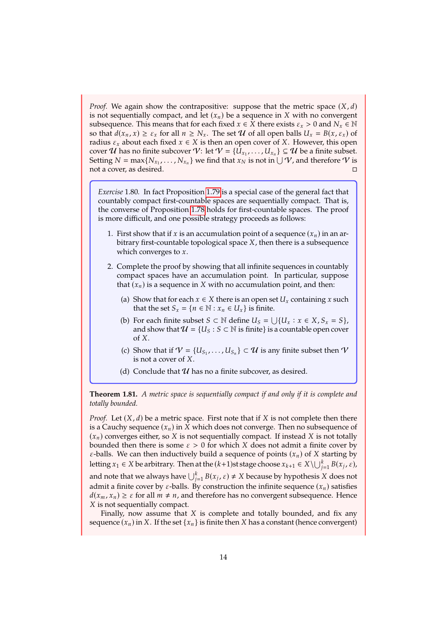*Proof.* We again show the contrapositive: suppose that the metric space  $(X, d)$ is not sequentially compact, and let  $(x_n)$  be a sequence in X with no convergent subsequence. This means that for each fixed  $x \in X$  there exists  $\varepsilon_x > 0$  and  $N_x \in \mathbb{N}$ so that  $d(x_n, x) \ge \varepsilon_x$  for all  $n \ge N_x$ . The set  $\mathcal U$  of all open balls  $U_x = B(x, \varepsilon_x)$  of radius  $\varepsilon_x$  about each fixed  $x \in X$  is then an open cover of X. However, this open cover  $U$  has no finite subcover  $V:$  let  $V = \{U_{x_1}, \ldots, U_{x_n}\} \subseteq U$  be a finite subset.<br>Setting  $N = \max\{N\}$  is not find that  $x_N$  is not in  $\mid |V|$  and therefore  $V$  is Setting  $N = \max\{N_{x_1}, \ldots, N_{x_n}\}$  we find that  $x_N$  is not in  $\bigcup \mathcal{V}$ , and therefore  $\mathcal{V}$  is not a cover, as desired. □

*Exercise* 1.80*.* In fact Proposition <sup>1</sup>.[79](#page-14-1) is a special case of the general fact that countably compact first-countable spaces are sequentially compact. That is, the converse of Proposition <sup>1</sup>.[78](#page-14-2) holds for first-countable spaces. The proof is more difficult, and one possible strategy proceeds as follows:

- 1. First show that if x is an accumulation point of a sequence  $(x_n)$  in an arbitrary first-countable topological space  $X$ , then there is a subsequence which converges to  $x$ .
- 2. Complete the proof by showing that all infinite sequences in countably compact spaces have an accumulation point. In particular, suppose that  $(x_n)$  is a sequence in  $X$  with no accumulation point, and then:
	- (a) Show that for each  $x \in X$  there is an open set  $U_x$  containing x such that the set  $S_x = \{ n \in \mathbb{N} : x_n \in U_x \}$  is finite.
	- (b) For each finite subset  $S \subset \mathbb{N}$  define  $U_S = \bigcup \{U_x : x \in X, S_x = S\}$ , and show that  $J = \{U_S : S \subset \mathbb{N} \text{ is finite} \}$  is a countable open cover and show that  $\mathcal{U} = \{U_S : S \subset \mathbb{N} \text{ is finite}\}\$ is a countable open cover  $of  $X$ .$
	- (c) Show that if  $V = \{U_{S_1}, \ldots, U_{S_n}\}$  $\} \subset \mathcal{U}$  is any finite subset then  $\mathcal{V}$ is not a cover of  $X$ .
	- (d) Conclude that  $U$  has no a finite subcover, as desired.

<span id="page-15-0"></span>**Theorem 1.81.** *A metric space is sequentially compact if and only if it is complete and totally bounded.*

*Proof.* Let  $(X, d)$  be a metric space. First note that if X is not complete then there is a Cauchy sequence  $(x_n)$  in  $X$  which does not converge. Then no subsequence of  $(x_n)$  converges either, so  $X$  is not sequentially compact. If instead  $X$  is not totally bounded then there is some  $\varepsilon > 0$  for which X does not admit a finite cover by  $\varepsilon$ -balls. We can then inductively build a sequence of points  $(x_n)$  of X starting by letting *x*<sub>1</sub> ∈ *X* be arbitrary. Then at the  $(k+1)$ st stage choose  $x_{k+1} \in X \setminus \bigcup_{j=1}^{k} B(x_j, \varepsilon)$ and note that we always have  $\bigcup_{j=1}^{k} B(x_j, \varepsilon) \neq X$  because by hypothesis X does not admit a finite cover by  $\varepsilon$ -balls. By construction the infinite sequence  $(x_n)$  satisfies  $d(x_m, x_n) \geq \varepsilon$  for all  $m \neq n$ , and therefore has no convergent subsequence. Hence  $X$  is not sequentially compact.

Finally, now assume that  $X$  is complete and totally bounded, and fix any sequence  $(x_n)$  in X. If the set  $\{x_n\}$  is finite then X has a constant (hence convergent)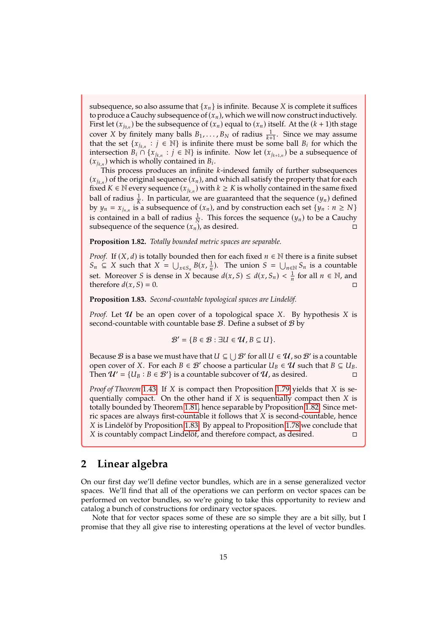subsequence, so also assume that  $\{x_n\}$  is infinite. Because X is complete it suffices to produce a Cauchy subsequence of  $(x_n)$ , which we will now construct inductively. First let  $(x_{i_{0,n}})$  be the subsequence of  $(x_n)$  equal to  $(x_n)$  itself. At the  $(k + 1)$ th stage cover X by finitely many balls  $B_1, \ldots, B_N$  of radius  $\frac{1}{k+1}$ . Since we may assume that the set  $\{x_i, \ldots, i \in \mathbb{N}\}$  is infinite there must be some ball  $B_i$  for which the that the set  $\{x_{j_{k,n}} : j \in \mathbb{N}\}$  is infinite there must be some ball  $B_i$  for which the intersection  $B_i \cap \{x_i : j \in \mathbb{N}\}$  is infinite. Now let  $(x_i)$  be a subsequence of intersection  $B_i \cap \{x_{j_{k,n}} : j \in \mathbb{N}\}$  is infinite. Now let  $(x_{j_{k+1,n}})$  be a subsequence of  $(x_i)$  which is wholly contained in  $B_i$ .  $(x_{j_{k,n}})$  which is wholly contained in  $B_i$ .<br>This process produces an infinite

This process produces an infinite  $k$ -indexed family of further subsequences  $(x_{i_k})$  of the original sequence  $(x_n)$ , and which all satisfy the property that for each fixed  $K \in \mathbb{N}$  every sequence  $(x_{j_{k,n}})$  with  $k \geq K$  is wholly contained in the same fixed ball of radius  $\frac{1}{k}$ . In particular, we are guaranteed that the sequence  $(y_n)$  defined<br>by  $y_n = x$ , is a subsequence of  $(x_n)$  and by construction each set  $\{y_n : n > N\}$ by  $y_n = x_{j_{n,n}}$  is a subsequence of  $(x_n)$ , and by construction each set  $\{y_n : n \geq N\}$ is contained in a ball of radius  $\frac{1}{N}$ . This forces the sequence  $(y_n)$  to be a Cauchy subsequence of the sequence  $(x_n)$ , as desired.  $\Box$ 

<span id="page-16-1"></span>**Proposition 1.82.** *Totally bounded metric spaces are separable.*

*Proof.* If  $(X, d)$  is totally bounded then for each fixed  $n \in \mathbb{N}$  there is a finite subset  $S_n \subseteq X$  such that  $X = \bigcup_{x \in S_n} B(x, \frac{1}{n})$ . The union  $S = \bigcup_{n \in \mathbb{N}} S_n$  is a countable<br>set. Moreover *S* is dones in *Y* hospital  $G \subseteq A(y, S) \subseteq A$  for all  $y \in \mathbb{N}$  and set. Moreover *S* is dense in *X* because  $d(x, S) \le d(x, S_n) < \frac{1}{n}$  for all  $n \in \mathbb{N}$ , and therefore  $d(x, S) = 0$ therefore  $d(x, S) = 0$ .

<span id="page-16-2"></span>**Proposition 1.83.** *Second-countable topological spaces are Lindelöf.*

*Proof.* Let  $U$  be an open cover of a topological space X. By hypothesis X is second-countable with countable base  $B$ . Define a subset of  $B$  by

$$
\mathcal{B}' = \{B \in \mathcal{B} : \exists U \in \mathcal{U}, B \subseteq U\}.
$$

Because  $\mathcal B$  is a base we must have that  $U \subseteq \bigcup \mathcal B'$  for all  $U \in \mathcal U$ , so  $\mathcal B'$  is a countable<br>open cover of  $X$ . For each  $B \in \mathcal B'$  choose a particular  $U_D \in \mathcal U$  such that  $B \subset U_D$ . open cover of X. For each  $B \in \mathcal{B}'$  choose a particular  $U_B \in \mathcal{U}$  such that  $B \subseteq U_B$ .<br>Then  $\mathcal{U}' = \{U_B : B \in \mathcal{B}'\}$  is a countable subcover of  $\mathcal{U}$  as desired Then  $\mathcal{U}' = \{U_B : B \in \mathcal{B}'\}$  is a countable subcover of  $\mathcal{U}$ , as desired.

*Proof of Theorem* 1.[43](#page-7-3)*.* If *X* is compact then Proposition 1.[79](#page-14-1) yields that *X* is sequentially compact. On the other hand if  $X$  is sequentially compact then  $X$  is totally bounded by Theorem <sup>1</sup>.[81,](#page-15-0) hence separable by Proposition <sup>1</sup>.[82.](#page-16-1) Since metric spaces are always first-countable it follows that  $X$  is second-countable, hence *X* is Lindelöf by Proposition 1.[83.](#page-16-2) By appeal to Proposition 1.[78](#page-14-2) we conclude that *X* is countably compact Lindelöf and therefore compact as desired X is countably compact Lindelöf, and therefore compact, as desired.

### <span id="page-16-0"></span>**2 Linear algebra**

On our first day we'll define vector bundles, which are in a sense generalized vector spaces. We'll find that all of the operations we can perform on vector spaces can be performed on vector bundles, so we're going to take this opportunity to review and catalog a bunch of constructions for ordinary vector spaces.

Note that for vector spaces some of these are so simple they are a bit silly, but I promise that they all give rise to interesting operations at the level of vector bundles.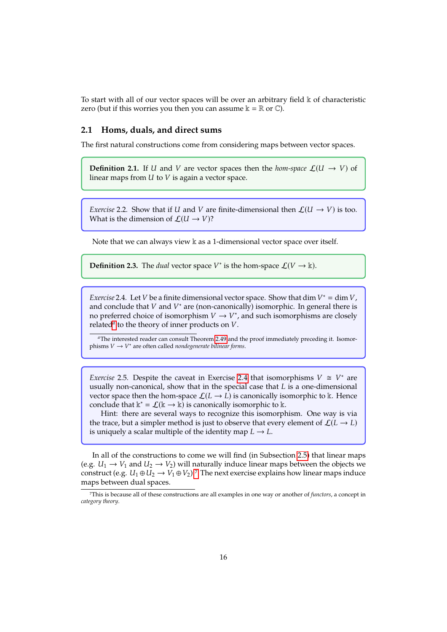To start with all of our vector spaces will be over an arbitrary field  $\Bbbk$  of characteristic zero (but if this worries you then you can assume  $\mathbb{k} = \mathbb{R}$  or  $\mathbb{C}$ ).

#### <span id="page-17-0"></span>**2.1 Homs, duals, and direct sums**

The first natural constructions come from considering maps between vector spaces.

**Definition 2.1.** If U and V are vector spaces then the *hom-space*  $\mathcal{L}(U \rightarrow V)$  of linear maps from  $U$  to  $V$  is again a vector space.

*Exercise* 2.2. Show that if U and V are finite-dimensional then  $\mathcal{L}(U \rightarrow V)$  is too. What is the dimension of  $\mathcal{L}(U \rightarrow V)$ ?

Note that we can always view  $\Bbbk$  as a 1-dimensional vector space over itself.

**Definition 2.3.** The *dual* vector space  $V^*$  is the hom-space  $\mathcal{L}(V \to \mathbb{k})$ .

<span id="page-17-2"></span>*Exercise* 2.4*.* Let *V* be a finite dimensional vector space. Show that dim  $V^* = \dim V$ , and conclude that  $V$  and  $V^*$  are (pop-canonically) isomorphic. In general there is and conclude that V and  $V^*$  are (non-canonically) isomorphic. In general there is<br>no preferred choice of isomorphism  $V \to V^*$  and such isomorphisms are closely no preferred choice of isomorphism  $V \to V^*$ , and such isomorphisms are closely related<sup>q</sup> to the theory of inner products on  $V$ rel[a](#page-17-1)ted<sup> $a$ </sup> to the theory of inner products on  $V$ .

<span id="page-17-1"></span>*<sup>a</sup>*The interested reader can consult Theorem <sup>2</sup>.[49](#page-28-0) and the proof immediately preceding it. Isomorphisms  $V \to V^*$  are often called *nondegenerate bilinear forms*.

<span id="page-17-4"></span>*Exercise* [2](#page-17-2).5*.* Despite the caveat in Exercise 2.4 that isomorphisms  $V \cong V^*$  are usually non-canonical show that in the special case that *I* is a one-dimensional usually non-canonical, show that in the special case that  $L$  is a one-dimensional vector space then the hom-space  $\mathcal{L}(L \to L)$  is canonically isomorphic to k. Hence conclude that  $\Bbbk^* = \mathcal{L}(\Bbbk \to \Bbbk)$  is canonically isomorphic to  $\Bbbk$ .

Hint: there are several ways to recognize this isomorphism. One way is via the trace, but a simpler method is just to observe that every element of  $\mathcal{L}(L \rightarrow L)$ is uniquely a scalar multiple of the identity map  $L \rightarrow L$ .

In all of the constructions to come we will find (in Subsection [2.5\)](#page-29-0) that linear maps (e.g.  $U_1 \rightarrow V_1$  and  $U_2 \rightarrow V_2$ ) will naturally induce linear maps between the objects we construct (e.g.  $U_1 \oplus U_2 \rightarrow V_1 \oplus V_2$ ).<sup>[7](#page-17-3)</sup> The next exercise explains how linear maps induce maps between dual spaces.

<span id="page-17-3"></span><sup>7</sup>This is because all of these constructions are all examples in one way or another of *functors*, a concept in *category theory*.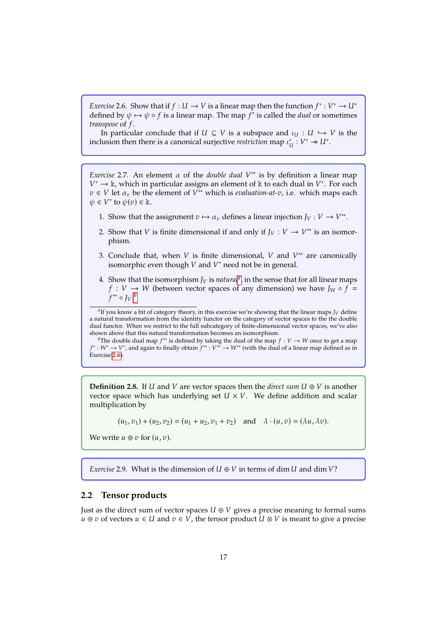<span id="page-18-3"></span>*Exercise* 2.6*.* Show that if  $f: U \to V$  is a linear map then the function  $f^*: V^* \to U^*$ defined by  $\psi \mapsto \psi \circ f$  is a linear map. The map  $f^*$  is called the *dual* or sometimes *transpose* of  $f$ .

In particular conclude that if  $U \subseteq V$  is a subspace and  $\iota_U : U \hookrightarrow V$  is the inclusion then there is a canonical surjective *restriction* map  $\iota_U^*$ .  $V^* \rightarrow U^*$ .

<span id="page-18-4"></span>*Exercise* 2.7. An element  $\alpha$  of the *double dual*  $V^*$  is by definition a linear map  $V^* \to \mathbb{k}$  which in particular assigns an element of  $\mathbb{k}$  to each dual in  $V^*$ . For each  $v \in V$  let  $\alpha_v$  be the element of  $V^{**}$  which is *evaluation-at-v*, i.e. which maps each  $\alpha_v \in V^*$  to  $\psi(v) \in \mathbb{k}$  $*$  → k, which in particular assigns an element of k to each dual in  $V^*$ . For each  $\epsilon$   $V$  let  $\alpha$ , be the element of  $V^{**}$  which is evaluation-at- $\alpha$ , i.e. which maps each  $\psi \in V^*$  to  $\psi(v) \in \mathbb{k}$ .

- 1. Show that the assignment  $v \mapsto \alpha_v$  defines a linear injection  $J_V : V \to V^{**}$ .
- 2. Show that *V* is finite dimensional if and only if  $J_V : V \to V^{**}$  is an isomorphism.
- 3. Conclude that, when *V* is finite dimensional, *V* and  $V^*$  are canonically isomorphic even though *V* and  $V^*$  need not be in general isomorphic even though  $V$  and  $V^*$  need not be in general.
- 4. Show th[a](#page-18-1)t the isomorphism  $J_V$  is *natural<sup>a</sup>*, in the sense that for all linear maps  $f : V \to W$  (between vector spaces of any dimension) we have  $J_W \circ f =$  $f: V \to W$  (between vector spaces of any dimension) we have  $J_W \circ f =$  $\int f^{**} \circ J_V \cdot \frac{b}{2}$  $\int f^{**} \circ J_V \cdot \frac{b}{2}$  $\int f^{**} \circ J_V \cdot \frac{b}{2}$

<span id="page-18-1"></span> $a_{\text{H}}$  you know a bit of category theory, in this exercise we're showing that the linear maps  $J_V$  define at ural transformation from the identity functor on the category of vector spaces to the the double a natural transformation from the identity functor on the category of vector spaces to the the double dual functor. When we restrict to the full subcategory of finite-dimensional vector spaces, we've also shown above that this natural transformation becomes an isomorphism.

<span id="page-18-2"></span>*b*The double dual map  $f^{**}$  is defined by taking the dual of the map  $f: V \to W$  once to get a map  $W^* \to W^*$  and again to finally obtain  $f^{**} \cdot W^{**} \to W^{**}$  (with the dual of a linear map defined as in Exercise <sup>2</sup>.[6\)](#page-18-3). \* :  $W^*$  →  $V^*$ , and again to finally obtain  $f^{**}$  :  $V^{**}$  →  $W^{**}$  (with the dual of a linear map defined as in

**Definition 2.8.** If U and V are vector spaces then the *direct sum*  $U \oplus V$  is another vector space which has underlying set  $U \times V$ . We define addition and scalar multiplication by

 $(u_1, v_1) + (u_2, v_2) = (u_1 + u_2, v_1 + v_2)$  and  $\lambda \cdot (u, v) = (\lambda u, \lambda v).$ 

We write  $u \oplus v$  for  $(u, v)$ .

*Exercise* 2.9. What is the dimension of  $U \oplus V$  in terms of dim  $U$  and dim  $V$ ?

#### <span id="page-18-0"></span>**2.2 Tensor products**

Just as the direct sum of vector spaces  $U \oplus V$  gives a precise meaning to formal sums  $u \oplus v$  of vectors  $u \in U$  and  $v \in V$ , the tensor product  $U \otimes V$  is meant to give a precise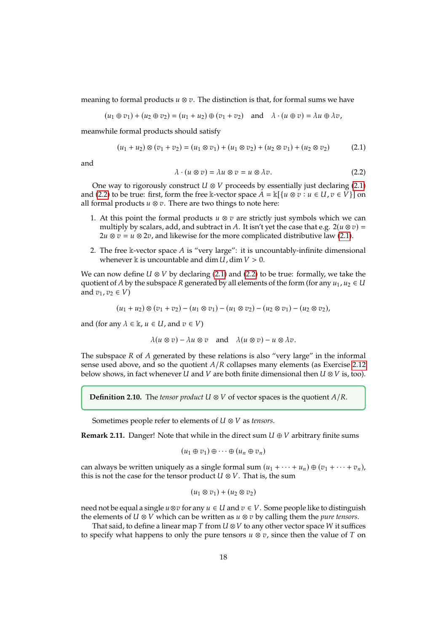meaning to formal products  $u \otimes v$ . The distinction is that, for formal sums we have

$$
(u_1 \oplus v_1) + (u_2 \oplus v_2) = (u_1 + u_2) \oplus (v_1 + v_2) \quad \text{and} \quad \lambda \cdot (u \oplus v) = \lambda u \oplus \lambda v,
$$

meanwhile formal products should satisfy

$$
(u_1 + u_2) \otimes (v_1 + v_2) = (u_1 \otimes v_1) + (u_1 \otimes v_2) + (u_2 \otimes v_1) + (u_2 \otimes v_2)
$$
 (2.1)

and

<span id="page-19-1"></span><span id="page-19-0"></span>
$$
\lambda \cdot (u \otimes v) = \lambda u \otimes v = u \otimes \lambda v. \tag{2.2}
$$

One way to rigorously construct  $U \otimes V$  proceeds by essentially just declaring [\(2.1\)](#page-19-0) and [\(2.2\)](#page-19-1) to be true: first, form the free k-vector space  $A = k[{u \otimes v : u \in U, v \in V}]$  on all formal products  $u \otimes v$ . There are two things to note here:

- 1. At this point the formal products  $u \otimes v$  are strictly just symbols which we can multiply by scalars, add, and subtract in A. It isn't yet the case that e.g.  $2(u \otimes v) =$ 2*u*  $\otimes$  *v* = *u*  $\otimes$  2*v*, and likewise for the more complicated distributive law [\(2.1\)](#page-19-0).
- 2. The free k-vector space A is "very large": it is uncountably-infinite dimensional whenever k is uncountable and dim  $U$ , dim  $V > 0$ .

We can now define  $U \otimes V$  by declaring [\(2.1\)](#page-19-0) and [\(2.2\)](#page-19-1) to be true: formally, we take the quotient of A by the subspace R generated by all elements of the form (for any  $u_1, u_2 \in U$ and  $v_1, v_2 \in V$ )

$$
(u_1 + u_2) \otimes (v_1 + v_2) - (u_1 \otimes v_1) - (u_1 \otimes v_2) - (u_2 \otimes v_1) - (u_2 \otimes v_2),
$$

and (for any  $\lambda \in \mathbb{k}$ ,  $u \in U$ , and  $v \in V$ )

$$
\lambda(u\otimes v)-\lambda u\otimes v \quad \text{and} \quad \lambda(u\otimes v)-u\otimes \lambda v.
$$

The subspace  $R$  of  $A$  generated by these relations is also "very large" in the informal sense used above, and so the quotient  $A/R$  collapses many elements (as Exercise 2.[12](#page-20-0) below shows, in fact whenever *U* and *V* are both finite dimensional then  $U \otimes V$  is, too).

**Definition 2.10.** The *tensor product*  $U \otimes V$  of vector spaces is the quotient  $A/R$ .

Sometimes people refer to elements of  $U \otimes V$  as *tensors*.

**Remark 2.11.** Danger! Note that while in the direct sum  $U \oplus V$  arbitrary finite sums

$$
(u_1\oplus v_1)\oplus\cdots\oplus(u_n\oplus v_n)
$$

can always be written uniquely as a single formal sum  $(u_1 + \cdots + u_n) \oplus (v_1 + \cdots + v_n)$ , this is not the case for the tensor product  $U \otimes V$ . That is, the sum

$$
(u_1 \otimes v_1) + (u_2 \otimes v_2)
$$

need not be equal a single  $u \otimes v$  for any  $u \in U$  and  $v \in V$ . Some people like to distinguish the elements of  $U \otimes V$  which can be written as  $u \otimes v$  by calling them the *pure tensors*.

That said, to define a linear map T from  $U \otimes V$  to any other vector space W it suffices to specify what happens to only the pure tensors  $u \otimes v$ , since then the value of T on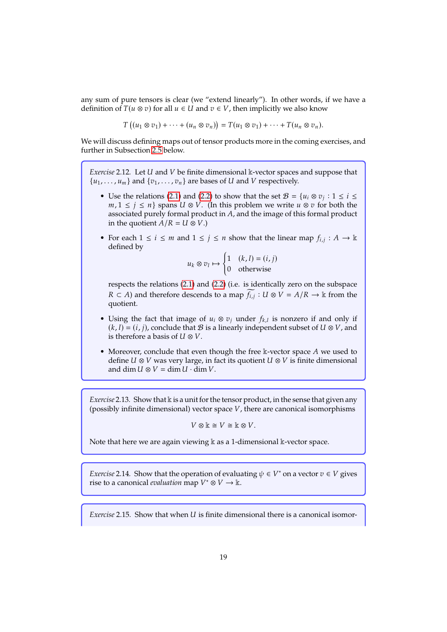any sum of pure tensors is clear (we "extend linearly"). In other words, if we have a definition of  $T(u \otimes v)$  for all  $u \in U$  and  $v \in V$ , then implicitly we also know

$$
T((u_1 \otimes v_1) + \cdots + (u_n \otimes v_n)) = T(u_1 \otimes v_1) + \cdots + T(u_n \otimes v_n).
$$

We will discuss defining maps out of tensor products more in the coming exercises, and further in Subsection [2.5](#page-29-0) below.

<span id="page-20-0"></span>*Exercise* 2.12*.* Let *U* and *V* be finite dimensional k-vector spaces and suppose that  $\{u_1, \ldots, u_m\}$  and  $\{v_1, \ldots, v_n\}$  are bases of U and V respectively.

- Use the relations [\(2.1\)](#page-19-0) and [\(2.2\)](#page-19-1) to show that the set  $\mathcal{B} = \{u_i \otimes v_j : 1 \le i \le m\}$  are left to  $m, 1 \le i \le n$  spans  $U \otimes V$  (In this problem we write  $u \otimes v_j$  for both the  $m, 1 \le j \le n$ } spans  $U \otimes V$ . (In this problem we write  $u \otimes v$  for both the associated purely formal product in  $A$ , and the image of this formal product in the quotient  $A/R = U \otimes V$ .)
- For each  $1 \le i \le m$  and  $1 \le j \le n$  show that the linear map  $f_{i,j}: A \to \mathbb{k}$ defined by

$$
u_k \otimes v_l \mapsto \begin{cases} 1 & (k, l) = (i, j) \\ 0 & \text{otherwise} \end{cases}
$$

respects the relations [\(2.1\)](#page-19-0) and [\(2.2\)](#page-19-1) (i.e. is identically zero on the subspace  $R \subset A$ ) and therefore descends to a map  $\widetilde{f_{i,j}}$  :  $U \otimes V = A/R$  → k from the quotient.

- Using the fact that image of  $u_i \otimes v_j$  under  $f_{k,l}$  is nonzero if and only if  $(k, l) = (i, j)$ , conclude that  $\mathcal{B}$  is a linearly independent subset of  $U \otimes V$ , and is therefore a basis of  $U \otimes V$ .
- Moreover, conclude that even though the free  $\Bbbk$ -vector space A we used to define  $U \otimes V$  was very large, in fact its quotient  $U \otimes V$  is finite dimensional and dim  $U \otimes V = \dim U \cdot \dim V$ .

<span id="page-20-3"></span>*Exercise* 2.13. Show that k is a unit for the tensor product, in the sense that given any (possibly infinite dimensional) vector space  $V$ , there are canonical isomorphisms

$$
V \otimes \mathbb{k} \cong V \cong \mathbb{k} \otimes V.
$$

Note that here we are again viewing  $\Bbbk$  as a 1-dimensional  $\Bbbk$ -vector space.

<span id="page-20-1"></span>*Exercise* 2.14. Show that the operation of evaluating  $\psi \in V^*$  on a vector  $v \in V$  gives rise to a canonical *evaluation* man  $V^* \otimes V \to \mathbb{k}$ rise to a canonical *evaluation* map  $V^* \otimes V \to \mathbb{k}$ .

<span id="page-20-2"></span>*Exercise* 2.15. Show that when *U* is finite dimensional there is a canonical isomor-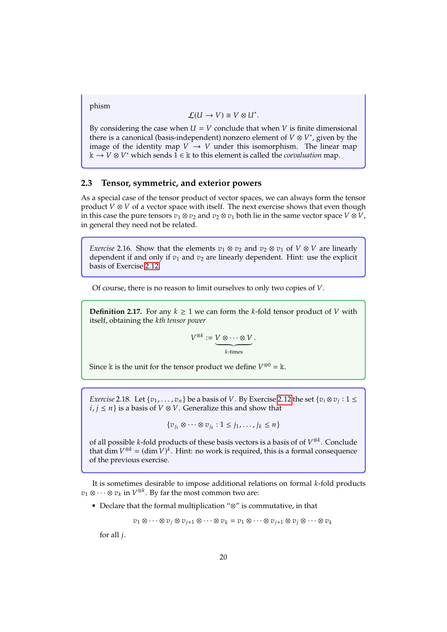phism

$$
\mathcal{L}(U \to V) \cong V \otimes U^*.
$$

By considering the case when  $U = V$  conclude that when V is finite dimensional there is a canonical (basis-independent) nonzero element of  $V \otimes V^*$ , given by the image of the identity man  $V \to V$  under this isomorphism. The linear man image of the identity map  $V \rightarrow V$  under this isomorphism. The linear map  $\mathbb{k} \to V \otimes V^*$  which sends  $1 \in \mathbb{k}$  to this element is called the *coevaluation* map.

#### <span id="page-21-0"></span>**2.3 Tensor, symmetric, and exterior powers**

As a special case of the tensor product of vector spaces, we can always form the tensor product  $V \otimes V$  of a vector space with itself. The next exercise shows that even though in this case the pure tensors  $v_1 \otimes v_2$  and  $v_2 \otimes v_1$  both lie in the same vector space  $V \otimes V$ , in general they need not be related.

*Exercise* 2.16. Show that the elements  $v_1 \otimes v_2$  and  $v_2 \otimes v_1$  of  $V \otimes V$  are linearly dependent if and only if  $v_1$  and  $v_2$  are linearly dependent. Hint: use the explicit basis of Exercise <sup>2</sup>.[12.](#page-20-0)

Of course, there is no reason to limit ourselves to only two copies of  $V$ .

**Definition 2.17.** For any  $k \geq 1$  we can form the k-fold tensor product of V with itself, obtaining the *th tensor power*

$$
V^{\otimes k} := \underbrace{V \otimes \cdots \otimes V}_{k \text{-times}}.
$$

Since  $\Bbbk$  is the unit for the tensor product we define  $V^{\otimes 0} = \Bbbk$ .

*Exercise* 2.18*.* Let  $\{v_1, \ldots, v_n\}$  be a basis of V. By Exercise 2.[12](#page-20-0) the set  $\{v_i \otimes v_j : 1 \le i \le n\}$  is a basis of  $V \otimes V$  Generalize this and show that  $i, j \leq n$  is a basis of  $V \otimes V$ . Generalize this and show that

$$
\{v_{j_1}\otimes\cdots\otimes v_{j_k}:1\leq j_1,\cdots,j_k\leq n\}
$$

of all possible k-fold products of these basis vectors is a basis of of  $V^{\otimes k}$ . Conclude that dim  $V^{\otimes k}$  – (dim  $V^k$ . Hinti no work is required, this is a formal consequence that  $\dim V^{\otimes k} = (\dim V)^k$ . Hint: no work is required, this is a formal consequence of the previous exercise of the previous exercise.

It is sometimes desirable to impose additional relations on formal  $k$ -fold products  $v_1 \otimes \cdots \otimes v_k$  in  $V^{\otimes k}$ . By far the most common two are:

• Declare that the formal multiplication "⊗" is commutative, in that

 $v_1 \otimes \cdots \otimes v_i \otimes v_{i+1} \otimes \cdots \otimes v_k = v_1 \otimes \cdots \otimes v_{i+1} \otimes v_i \otimes \cdots \otimes v_k$ 

for all  $j$ .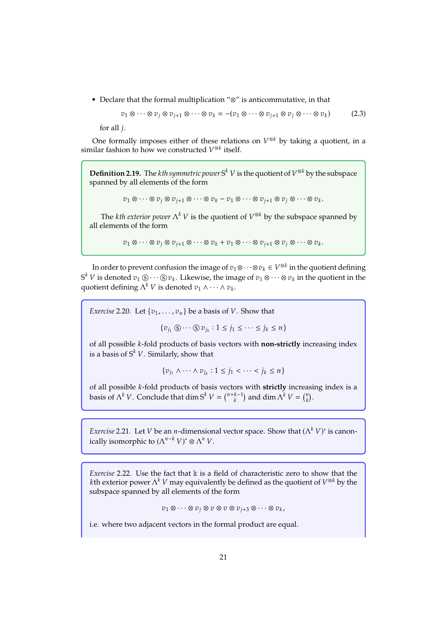• Declare that the formal multiplication "⊗" is anticommutative, in that

<span id="page-22-0"></span>
$$
v_1 \otimes \cdots \otimes v_j \otimes v_{j+1} \otimes \cdots \otimes v_k = -(v_1 \otimes \cdots \otimes v_{j+1} \otimes v_j \otimes \cdots \otimes v_k) \tag{2.3}
$$

for all  $i$ .

One formally imposes either of these relations on  $V^{\otimes k}$  by taking a quotient, in a vilar fashion to how we constructed  $V^{\otimes k}$  itself similar fashion to how we constructed  $V^{\otimes k}$  itself.

**Definition 2.19.** The *kth symmetric power*  $S^k$   $V$  is the quotient of  $V^{\otimes k}$  by the subspace spanned by all elements of the form spanned by all elements of the form

 $v_1 \otimes \cdots \otimes v_j \otimes v_{j+1} \otimes \cdots \otimes v_k - v_1 \otimes \cdots \otimes v_{j+1} \otimes v_j \otimes \cdots \otimes v_k.$ 

The *kth exterior power*  $\Lambda^k V$  is the quotient of  $V^{\otimes k}$  by the subspace spanned by plements of the form all elements of the form

$$
v_1 \otimes \cdots \otimes v_j \otimes v_{j+1} \otimes \cdots \otimes v_k + v_1 \otimes \cdots \otimes v_{j+1} \otimes v_j \otimes \cdots \otimes v_k.
$$

In order to prevent confusion the image of  $v_1 \otimes \cdots \otimes v_k \in V^{\otimes k}$  in the quotient defining  $\lambda$  is denoted  $v_i \otimes \cdots \otimes v_k$ . I illegation the image of  $v_i \otimes \cdots \otimes v_k$  is the quotient in the  $S^k V$  is denoted  $v_1 \otimes \cdots \otimes v_k$ . Likewise, the image of  $v_1 \otimes \cdots \otimes v_k$  in the quotient in the quotient defining  $\Lambda^k V$  is denoted  $v_1 \wedge \cdots \wedge v_k$ . quotient defining  $\Lambda^k V$  is denoted  $v_1 \wedge \cdots \wedge v_k$ .

*Exercise* 2.20*.* Let  $\{v_1, \ldots, v_n\}$  be a basis of V. Show that

 $\{v_{j_1} \circledS \cdots \circledS v_{j_k} : 1 \leq j_1 \leq \cdots \leq j_k \leq n\}$ 

of all possible *k*-fold products of basis vectors with **non-strictly** increasing index is a basis of  $S^k V$ . Similarly, show that

$$
\{v_{j_1}\wedge\cdots\wedge v_{j_k}:1\leq j_1<\cdots
$$

of all possible *k*-fold products of basis vectors with **strictly** increasing index is a basis of  $\Lambda^k V$ . Conclude that dim  $S^k V = \binom{n+k-1}{k}$  and dim  $\Lambda^k V = \binom{n}{k}$ .

*Exercise* 2.21. Let *V* be an *n*-dimensional vector space. Show that  $(\Lambda^k V)^*$  is canon-<br>isolly isomorphic to  $(\Lambda^{n-k} V)^* \otimes \Lambda^n V$ ically isomorphic to  $(\Lambda^{n-k} V)^* \otimes \Lambda^n V$ .

<span id="page-22-1"></span>*Exercise* 2.22*.* Use the fact that  $\Bbbk$  is a field of characteristic zero to show that the kth exterior power  $\Lambda^k V$  may equivalently be defined as the quotient of  $V^{\otimes k}$  by the subspace spanned by all elements of the form subspace spanned by all elements of the form

 $v_1 \otimes \cdots \otimes v_j \otimes v \otimes v \otimes v_{i+3} \otimes \cdots \otimes v_k$ 

i.e. where two adjacent vectors in the formal product are equal.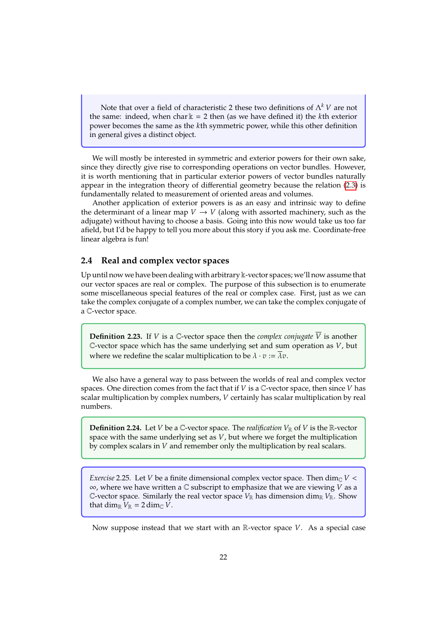Note that over a field of characteristic 2 these two definitions of  $\Lambda^k V$  are not same; indeed, when chark = 2 then (as we have defined it) the kth exterior the same: indeed, when char  $k = 2$  then (as we have defined it) the kth exterior power becomes the same as the th symmetric power, while this other definition in general gives a distinct object.

We will mostly be interested in symmetric and exterior powers for their own sake, since they directly give rise to corresponding operations on vector bundles. However, it is worth mentioning that in particular exterior powers of vector bundles naturally appear in the integration theory of differential geometry because the relation [\(2.3\)](#page-22-0) is fundamentally related to measurement of oriented areas and volumes.

Another application of exterior powers is as an easy and intrinsic way to define the determinant of a linear map  $V \to V$  (along with assorted machinery, such as the adjugate) without having to choose a basis. Going into this now would take us too far afield, but I'd be happy to tell you more about this story if you ask me. Coordinate-free linear algebra is fun!

#### <span id="page-23-0"></span>**2.4 Real and complex vector spaces**

Up until now we have been dealing with arbitrary k-vector spaces; we'll now assume that our vector spaces are real or complex. The purpose of this subsection is to enumerate some miscellaneous special features of the real or complex case. First, just as we can take the complex conjugate of a complex number, we can take the complex conjugate of a C-vector space.

**Definition 2.23.** If V is a C-vector space then the *complex conjugate*  $\overline{V}$  is another C-vector space which has the same underlying set and sum operation as  $V$ , but where we redefine the scalar multiplication to be  $\lambda \cdot v := \lambda v$ .

We also have a general way to pass between the worlds of real and complex vector spaces. One direction comes from the fact that if  $V$  is a  $\mathbb{C}$ -vector space, then since  $V$  has scalar multiplication by complex numbers, V certainly has scalar multiplication by real numbers.

**Definition 2.24.** Let *V* be a *C*-vector space. The *realification*  $V_{\mathbb{R}}$  of *V* is the  $\mathbb{R}$ -vector space with the same underlying set as  $V$ , but where we forget the multiplication by complex scalars in  $V$  and remember only the multiplication by real scalars.

<span id="page-23-1"></span>*Exercise* 2.25. Let *V* be a finite dimensional complex vector space. Then  $\dim_{\mathbb{C}} V$  <  $\infty$ , where we have written a  $\mathbb C$  subscript to emphasize that we are viewing V as a C-vector space. Similarly the real vector space  $V_{\mathbb{R}}$  has dimension dim<sub>R</sub>  $V_{\mathbb{R}}$ . Show that dim<sub>R</sub>  $V_R = 2 \dim_{\mathbb{C}} V$ .

Now suppose instead that we start with an R-vector space  $V$ . As a special case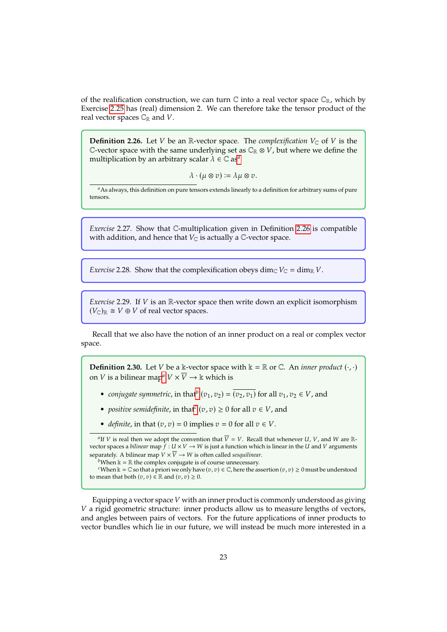of the realification construction, we can turn  $\mathbb C$  into a real vector space  $\mathbb C_{\mathbb R}$ , which by Exercise <sup>2</sup>.[25](#page-23-1) has (real) dimension 2. We can therefore take the tensor product of the real vector spaces  $\mathbb{C}_\mathbb{R}$  and V.

<span id="page-24-1"></span>**Definition 2.26.** Let *V* be an R-vector space. The *complexification*  $V_{\mathbb{C}}$  of *V* is the C-vector space with the same underlying set as  $\mathbb{C}_\mathbb{R} \otimes V$ , but where we define the multiplic[a](#page-24-0)tion by an arbitrary scalar  $\lambda \in \mathbb{C}$  as<sup>*a*</sup>

 $\lambda \cdot (\mu \otimes v) := \lambda \mu \otimes v.$ 

<span id="page-24-0"></span>*a*As always, this definition on pure tensors extends linearly to a definition for arbitrary sums of pure tensors.

*Exercise* 2.27*.* Show that <sup>C</sup>-multiplication given in Definition <sup>2</sup>.[26](#page-24-1) is compatible with addition, and hence that  $V_{\mathbb{C}}$  is actually a  $\mathbb{C}$ -vector space.

*Exercise* 2.28*.* Show that the complexification obeys dim<sub>C</sub>  $V_C = \dim_R V$ .

*Exercise* 2.29. If *V* is an R-vector space then write down an explicit isomorphism  $(V_{\mathbb{C}})_{\mathbb{R}} \cong V \oplus V$  of real vector spaces.

Recall that we also have the notion of an inner product on a real or complex vector space.

**Definition 2.30.** Let *V* be a k-vector space with  $k = \mathbb{R}$  or  $\mathbb{C}$ . An *inner product*  $(\cdot, \cdot)$ on *V* is [a](#page-24-2) bilinear map<sup>*a*</sup>  $V \times \overline{V} \rightarrow \mathbb{k}$  which is

- *conjugate symmetric*, in that<sup>*[b](#page-24-3)*</sup>  $(v_1, v_2) = (v_2, v_1)$  for all  $v_1, v_2 \in V$ , and
- *positive semidefinite*, in that<sup>*[c](#page-24-4)*</sup> ( $v$ ,  $v$ )  $\geq$  0 for all  $v \in V$ , and
- *definite*, in that  $(v, v) = 0$  implies  $v = 0$  for all  $v \in V$ .

<span id="page-24-2"></span><sup>a</sup>If *V* is real then we adopt the convention that  $\overline{V} = V$ . Recall that whenever *U*, *V*, and *W* are R-<br>tor spaces a hilinear map  $f: U \times V \to W$  is just a function which is linear in the *U* and *V* arguments vector spaces a *bilinear* map  $\hat{f}: U \times V \to W$  is just a function which is linear in the U and V arguments separately. A bilinear map  $V \times \overline{V} \rightarrow W$  is often called *sesquilinear*.

Equipping a vector space  $V$  with an inner product is commonly understood as giving  $V$  a rigid geometric structure: inner products allow us to measure lengths of vectors, and angles between pairs of vectors. For the future applications of inner products to vector bundles which lie in our future, we will instead be much more interested in a

<span id="page-24-4"></span><span id="page-24-3"></span>*b*When  $k = \mathbb{R}$  the complex conjugate is of course unnecessary.

*c*When  $k = \mathbb{C}$  so that a priori we only have  $(v, v) \in \mathbb{C}$ , here the assertion  $(v, v) \geq 0$  must be understood to mean that both  $(v, v) \in \mathbb{R}$  and  $(v, v) \geq 0$ .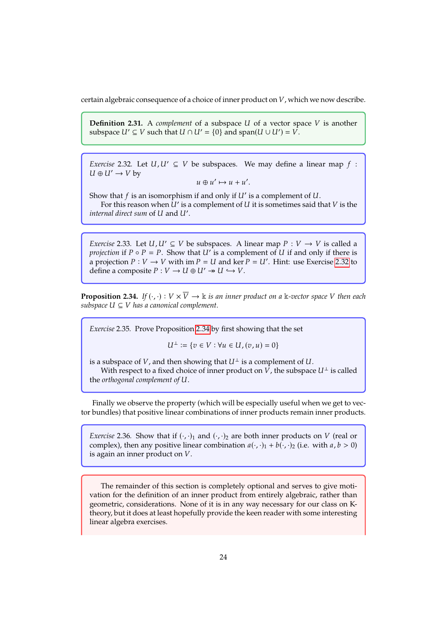certain algebraic consequence of a choice of inner product on  $V$ , which we now describe.

**Definition 2.31.** A *complement* of a subspace  $U$  of a vector space  $V$  is another subspace  $U' \subseteq V$  such that  $U \cap U' = \{0\}$  and span $(U \cup U') = V$ .

<span id="page-25-0"></span>*Exercise* 2.32*.* Let  $U, U' \subseteq V$  be subspaces. We may define a linear map  $f$ :  $U \oplus U' \rightarrow V$  by

$$
u\oplus u'\mapsto u+u'.
$$

Show that  $f$  is an isomorphism if and only if  $U'$  is a complement of  $U$ .<br>For this reason when  $U'$  is a complement of  $U$  it is sometimes said f For this reason when  $\dot{U}'$  is a complement of U it is sometimes said that V is the read direct sum of U and U' *internal direct sum* of U and U'.

<span id="page-25-3"></span>*Exercise* 2.33*.* Let  $U, U' \subseteq V$  be subspaces. A linear map  $P : V \to V$  is called a *projection* if  $P \circ P = P$ . Show that  $U'$  is a complement of  $U$  if and only if there is a projection  $P : V \to V$  with im  $P = U$  and ker  $P = U'$ . Hinti use Exercise 2.32 to a projection  $P: V \to V$  with im  $P = U$  and ker  $P = U'$ . Hint: use Exercise 2.[32](#page-25-0) to define a composite  $P: V \to U \oplus U' \to V$ define a composite  $P: V \to U \oplus U' \to U \hookrightarrow V$ .

<span id="page-25-1"></span>**Proposition 2.34.** *If*  $(\cdot, \cdot): V \times \overline{V} \to \mathbb{k}$  *is an inner product on a* k-vector space V then each *subspace*  $U \subseteq V$  *has a canonical complement.* 

<span id="page-25-2"></span>*Exercise* 2.35*.* Prove Proposition <sup>2</sup>.[34](#page-25-1) by first showing that the set

$$
U^\perp:=\{v\in V: \forall u\in U, (v,u)=0\}
$$

is a subspace of V, and then showing that  $U^{\perp}$  is a complement of U.

With respect to a fixed choice of inner product on V, the subspace  $U^{\perp}$  is called the *orthogonal* complement of U.

Finally we observe the property (which will be especially useful when we get to vector bundles) that positive linear combinations of inner products remain inner products.

*Exercise* 2.36*.* Show that if  $(\cdot, \cdot)_1$  and  $(\cdot, \cdot)_2$  are both inner products on *V* (real or complex), then any positive linear combination  $a(\cdot, \cdot)_1 + b(\cdot, \cdot)_2$  (i.e. with  $a, b > 0$ ) is again an inner product on  $V$ .

The remainder of this section is completely optional and serves to give motivation for the definition of an inner product from entirely algebraic, rather than geometric, considerations. None of it is in any way necessary for our class on Ktheory, but it does at least hopefully provide the keen reader with some interesting linear algebra exercises.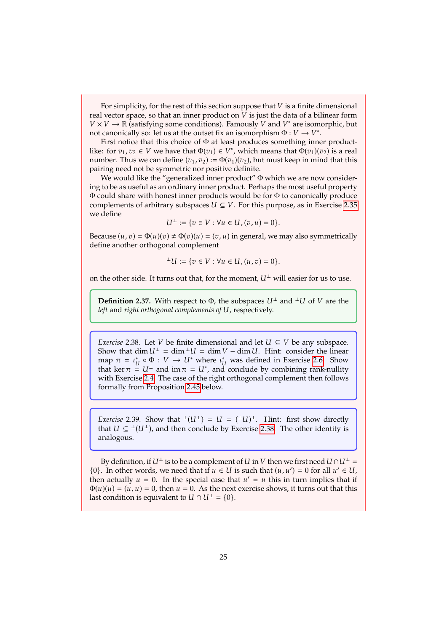For simplicity, for the rest of this section suppose that  $V$  is a finite dimensional real vector space, so that an inner product on  $V$  is just the data of a bilinear form  $V \times V \to \mathbb{R}$  (satisfying some conditions). Famously V and  $V^*$  are isomorphic, but<br>not canonically so; let us at the outset fix an isomorphism  $\Phi : V \to V^*$ not canonically so: let us at the outset fix an isomorphism  $\Phi : V \to V^*$ .<br>First notice that this choice of  $\Phi$  at least produces something inner

First notice that this choice of Φ at least produces something inner productlike: for  $v_1, v_2 \in V$  we have that  $\Phi(v_1) \in V^*$ , which means that  $\Phi(v_1)(v_2)$  is a real number. Thus we can define  $(v_1, v_2) := \Phi(v_1)(v_2)$  but must keen in mind that this number. Thus we can define  $(v_1, v_2) := \Phi(v_1)(v_2)$ , but must keep in mind that this pairing need not be symmetric nor positive definite.

We would like the "generalized inner product"  $\Phi$  which we are now considering to be as useful as an ordinary inner product. Perhaps the most useful property Φ could share with honest inner products would be for Φ to canonically produce complements of arbitrary subspaces  $U \subseteq V$ . For this purpose, as in Exercise 2.[35](#page-25-2) we define

$$
U^{\perp} := \{ v \in V : \forall u \in U, (v, u) = 0 \}.
$$

Because  $(u, v) = \Phi(u)(v) \neq \Phi(v)(u) = (v, u)$  in general, we may also symmetrically define another orthogonal complement

$$
^{\perp}U:=\{v\in V:\forall u\in U,(u,v)=0\}.
$$

on the other side. It turns out that, for the moment,  $U^{\perp}$  will easier for us to use.

**Definition 2.37.** With respect to  $\Phi$ , the subspaces  $U^{\perp}$  and  $\perp U$  of V are the left and *right orthogonal complements of U*, respectively.

<span id="page-26-0"></span>*Exercise* 2.38. Let *V* be finite dimensional and let  $U \subseteq V$  be any subspace. Show that dim  $U^{\perp} = \dim^{-1} U = \dim V - \dim U$ . Hint: consider the linear map  $\pi = \iota_U^* \circ \Phi : V \to U^*$  where  $\iota_U^*$  was defined in Exercise 2.[6.](#page-18-3) Show that ker  $\pi = \iota_U^*$  and im  $\pi = \iota_U^*$  and conclude by combining rank-nullity that ker  $\pi = U^{\perp}$  and  $\text{im } \pi = U^*$ , and conclude by combining rank-nullity with Exercise 2.4. The case of the right orthogonal complement then follows with Exercise <sup>2</sup>.[4.](#page-17-2) The case of the right orthogonal complement then follows formally from Proposition <sup>2</sup>.[45](#page-28-1) below.

*Exercise* 2.39. Show that  $\pm (U^{\perp}) = U = (\pm U)^{\perp}$ . Hint: first show directly that  $U \subset \pm (U^{\perp})$  and then conclude by Exercise 2.38. The other identity is that  $U \subseteq {}^{\perp}(U^{\perp})$ , and then conclude by Exercise 2.[38.](#page-26-0) The other identity is analogous.

By definition, if  $U^{\perp}$  is to be a complement of  $U$  in  $V$  then we first need  $U \cap U^{\perp} =$ {0}. In other words, we need that if  $u \in U$  is such that  $(u, u') = 0$  for all  $u' \in U$ , then actually  $u = 0$ . In the special case that  $u' = u$  this in turn implies that if then actually  $u = 0$ . In the special case that  $u' = u$  this in turn implies that if  $\Phi(u)(u) = (u, u) = 0$  then  $u = 0$ . As the next exercise shows it turns out that this  $\Phi(u)(u) = (u, u) = 0$ , then  $u = 0$ . As the next exercise shows, it turns out that this last condition is equivalent to  $U \cap U^{\perp} = \{0\}.$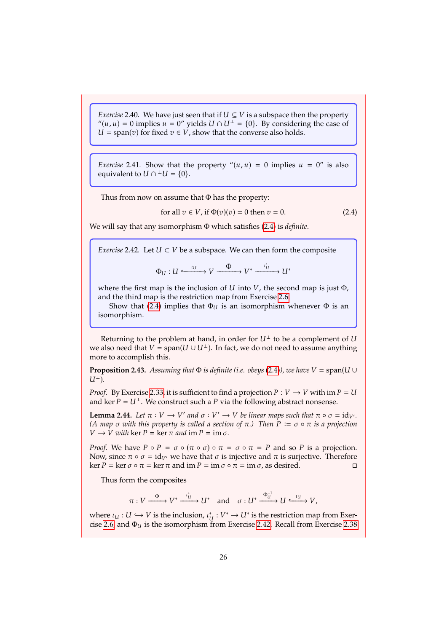*Exercise* 2.40*.* We have just seen that if  $U \subseteq V$  is a subspace then the property " $(u, u) = 0$  implies  $u = 0$ " yields  $U \cap U^{\perp} = \{0\}$ . By considering the case of  $U = span(v)$  for fixed  $v \in V$ , show that the converse also holds.

*Exercise* 2.41. Show that the property  $\theta(u, u) = 0$  implies  $u = 0$ " is also equivalent to  $U \cap {}^{\perp}U = \{0\}.$ 

Thus from now on assume that  $\Phi$  has the property:

<span id="page-27-0"></span>for all 
$$
v \in V
$$
, if  $\Phi(v)(v) = 0$  then  $v = 0$ . (2.4)

We will say that any isomorphism Φ which satisfies [\(2.4\)](#page-27-0) is *definite*.

<span id="page-27-1"></span>*Exercise* 2.42*.* Let  $U \subset V$  be a subspace. We can then form the composite

 $\Phi_U: U \xrightarrow{\iota_U} V \xrightarrow{\Phi} V^* \xrightarrow{\iota'_U}$  $\xrightarrow{\iota_u} U^*$ 

where the first map is the inclusion of  $U$  into  $V$ , the second map is just  $\Phi$ , and the third map is the restriction map from Exercise <sup>2</sup>.[6.](#page-18-3)

Show that [\(2.4\)](#page-27-0) implies that  $\Phi_U$  is an isomorphism whenever  $\Phi$  is an isomorphism.

Returning to the problem at hand, in order for  $U^{\perp}$  to be a complement of U we also need that  $V = span(U \cup U^{\perp})$ . In fact, we do not need to assume anything more to accomplish this.

**Proposition 2.43.** *Assuming that*  $\Phi$  *is definite (i.e. obeys [\(2.4\)](#page-27-0)), we have*  $V = span(U \cup$  $U^{\perp}$ ).

*Proof.* By Exercise 2.[33,](#page-25-3) it is sufficient to find a projection  $P: V \to V$  with im  $P = U$ and ker  $P = U^{\perp}$ . We construct such a P via the following abstract nonsense.

<span id="page-27-2"></span>**Lemma 2.44.** *Let*  $\pi : V \to V'$  and  $\sigma : V' \to V$  be linear maps such that  $\pi \circ \sigma = id_{V'}$ .<br>(A map  $\sigma$  with this property is called a section of  $\pi$ ). Then  $P := \sigma \circ \pi$  is a projection *(A map*  $\sigma$  *with this property is called a section of*  $\pi$ *.) Then*  $P := \sigma \circ \pi$  *is a projection*  $V \rightarrow V$  with ker  $P = \ker \pi$  and  $\operatorname{im} P = \operatorname{im} \sigma$ .

*Proof.* We have  $P \circ P = \sigma \circ (\pi \circ \sigma) \circ \pi = \sigma \circ \pi = P$  and so P is a projection. Now, since  $\pi \circ \sigma = id_{V'}$  we have that  $\sigma$  is injective and  $\pi$  is surjective. Therefore ker  $P = \ker \sigma \circ \pi = \ker \pi$  and im  $P = \text{im } \sigma \circ \pi = \text{im } \sigma$ . as desired. ker  $P = \ker \sigma \circ \pi = \ker \pi$  and  $\operatorname{im} P = \operatorname{im} \sigma \circ \pi = \operatorname{im} \sigma$ , as desired.

Thus form the composites

 $\pi: V \xrightarrow{\Phi} V^* \xrightarrow{\iota_{\mathfrak{k}}^*}$  $\xrightarrow{t^*_u} U^*$  and  $\sigma: U^* \xrightarrow{\Phi_u^{-1}}$  $\xrightarrow{\Phi_U^{-1}} U \xrightarrow{\iota_U} V,$ 

where  $\iota_U : U \hookrightarrow V$  is the inclusion,  $\iota_U^*: V^* \to U^*$  is the restriction map from Exercise 2.6, and  $\Phi_U$  is the isomorphism from Exercise 2.42. Recall from Exercise 2.38 cise 2.[6,](#page-18-3) and  $\Phi_U$  is the isomorphism from Exercise 2.[42.](#page-27-1) Recall from Exercise 2.[38](#page-26-0)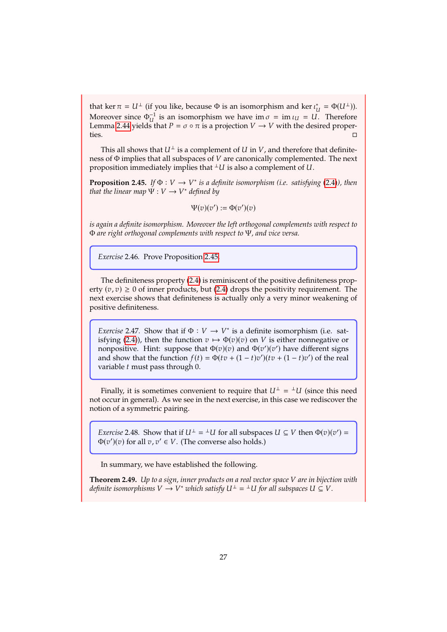that ker  $\pi = U^{\perp}$  (if you like, because  $\Phi$  is an isomorphism and ker  $\iota_{\mathbb{R}}^*$ <br>Mergeven since  $\Phi^{-1}$  is an isomorphism via here in  $\epsilon = \mathbb{I}$ that ker  $\pi = U^{\perp}$  (if you like, because  $\Phi$  is an isomorphism and ker  $\iota_U^* = \Phi(U^{\perp})$ ).<br>Moreover since  $\Phi_U^{-1}$  is an isomorphism we have im  $\sigma = \text{im } \iota_U = U$ . Therefore  $\frac{1}{U}$  is an isomorphism we have im  $\sigma = \text{im } \iota_U = U$ . Therefore s that  $P = \sigma \circ \pi$  is a projection  $V \to V$  with the desired proper-Lemma 2.[44](#page-27-2) yields that  $P = \sigma \circ \pi$  is a projection  $V \to V$  with the desired properties.

This all shows that  $U^{\perp}$  is a complement of U in V, and therefore that definiteness of  $\Phi$  implies that all subspaces of  $V$  are canonically complemented. The next proposition immediately implies that  $\perp U$  is also a complement of U.

<span id="page-28-1"></span>**Proposition 2.45.** *If*  $\Phi : V \to V^*$  *is a definite isomorphism (i.e. satisfying [\(2.4\)](#page-27-0)), then* that the linear man  $\Psi : V \to V^*$  defined by that the linear map  $\Psi: V \to V^*$  defined by

$$
\Psi(v)(v') := \Phi(v')(v)
$$

*is again a definite isomorphism. Moreover the left orthogonal complements with respect to* Φ *are right orthogonal complements with respect to* Ψ*, and vice versa.*

*Exercise* 2.46*.* Prove Proposition <sup>2</sup>.[45.](#page-28-1)

The definiteness property [\(2.4\)](#page-27-0) is reminiscent of the positive definiteness property  $(v, v) \ge 0$  of inner products, but [\(2.4\)](#page-27-0) drops the positivity requirement. The next exercise shows that definiteness is actually only a very minor weakening of positive definiteness.

*Exercise* 2.47. Show that if  $\Phi : V \to V^*$  is a definite isomorphism (i.e. satisfying (2.4)), then the function  $v \mapsto \Phi(v)(v)$  on V is either ponnegative or isfying [\(2.4\)](#page-27-0)), then the function  $v \mapsto \Phi(v)(v)$  on V is either nonnegative or nonpositive. Hint: suppose that  $\Phi(v)(v)$  and  $\Phi(v')(v')$  have different signs and show that the function  $f(t) = \Phi(tv) + (1-t)v'(tv) + (1-t)v'(tv)$  of the real and show that the function  $f(t) = \Phi(tv) + (1-t)v'(tv) + (1-t)v'$  of the real variable t must pass through 0 variable  $t$  must pass through  $0$ .

Finally, it is sometimes convenient to require that  $U^{\perp} = {}^{\perp}U$  (since this need occur in general). As we see in the next exercise, in this case we rediscover the not occur in general). As we see in the next exercise, in this case we rediscover the notion of a symmetric pairing.

<span id="page-28-2"></span>*Exercise* 2.48*.* Show that if  $U^{\perp} = {}^{\perp}U$  for all subspaces  $U \subseteq V$  then  $\Phi(v)(v') = \Phi(v)(v)$  for all  $v, v' \in V$  (The converse also holds)  $\Phi(v')(v)$  for all  $v, v' \in V$ . (The converse also holds.)

In summary, we have established the following.

<span id="page-28-0"></span>**Theorem 2.49.** *Up to a sign, inner products on a real vector space are in bijection with* definite isomorphisms  $V \stackrel{\rightarrow}{\rightarrow} V^*$  which satisfy  $U^{\perp} = {}^{\perp}U$  for all subspaces  $U \subseteq V$ .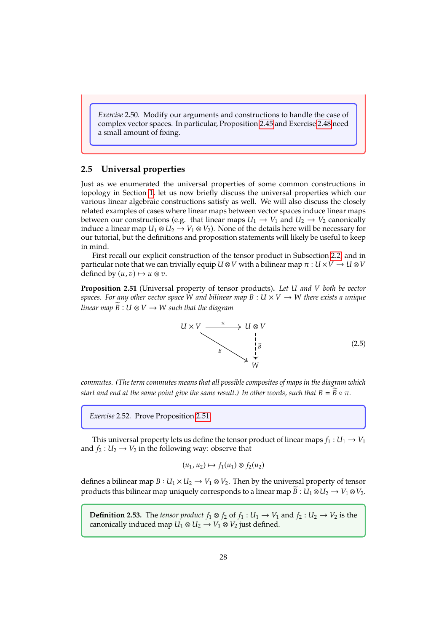*Exercise* 2.50*.* Modify our arguments and constructions to handle the case of complex vector spaces. In particular, Proposition <sup>2</sup>.[45](#page-28-1) and Exercise <sup>2</sup>.[48](#page-28-2) need a small amount of fixing.

#### <span id="page-29-0"></span>**2.5 Universal properties**

Just as we enumerated the universal properties of some common constructions in topology in Section [1,](#page-2-0) let us now briefly discuss the universal properties which our various linear algebraic constructions satisfy as well. We will also discuss the closely related examples of cases where linear maps between vector spaces induce linear maps between our constructions (e.g. that linear maps  $U_1 \rightarrow V_1$  and  $U_2 \rightarrow V_2$  canonically induce a linear map  $U_1 \otimes U_2 \rightarrow V_1 \otimes V_2$ ). None of the details here will be necessary for our tutorial, but the definitions and proposition statements will likely be useful to keep in mind.

First recall our explicit construction of the tensor product in Subsection [2.2,](#page-18-0) and in particular note that we can trivially equip  $U \otimes V$  with a bilinear map  $\pi : U \times V \to U \otimes V$ defined by  $(u, v) \mapsto u \otimes v$ .

<span id="page-29-1"></span>**Proposition 2.51** (Universal property of tensor products)**.** *Let and both be vector spaces. For any other vector space* W and bilinear map  $B: U \times V \rightarrow W$  there exists a unique *linear map*  $\widetilde{B}: U \otimes V \rightarrow W$  such that the diagram



*commutes. (The term commutes means that all possible composites of maps in the diagram which start and end at the same point give the same result.) In other words, such that*  $B = \overline{B} \circ \pi$ .

*Exercise* 2.52*.* Prove Proposition <sup>2</sup>.[51.](#page-29-1)

This universal property lets us define the tensor product of linear maps  $f_1 : U_1 \rightarrow V_1$ and  $f_2 : U_2 \to V_2$  in the following way: observe that

$$
(u_1, u_2) \mapsto f_1(u_1) \otimes f_2(u_2)
$$

defines a bilinear map  $B: U_1 \times U_2 \rightarrow V_1 \otimes V_2$ . Then by the universal property of tensor products this bilinear map uniquely corresponds to a linear map  $\widetilde{B}: U_1 \otimes U_2 \to V_1 \otimes V_2$ .

**Definition 2.53.** The *tensor product*  $f_1 \otimes f_2$  of  $f_1 : U_1 \rightarrow V_1$  and  $f_2 : U_2 \rightarrow V_2$  is the canonically induced map  $U_1 \otimes U_2 \rightarrow V_1 \otimes V_2$  just defined.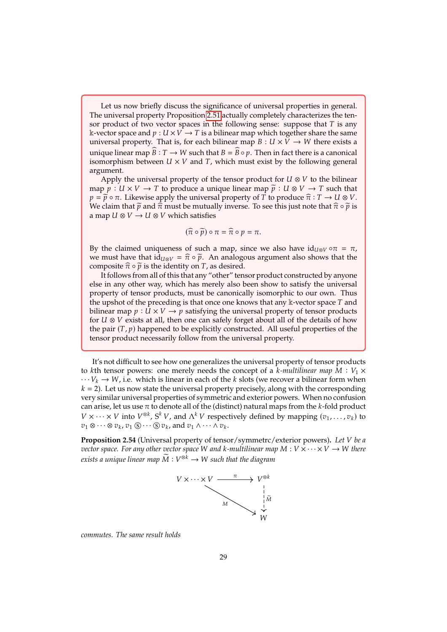Let us now briefly discuss the significance of universal properties in general. The universal property Proposition <sup>2</sup>.[51](#page-29-1) actually completely characterizes the tensor product of two vector spaces in the following sense: suppose that  $T$  is any k-vector space and  $p: U \times V \rightarrow T$  is a bilinear map which together share the same universal property. That is, for each bilinear map  $B: U \times V \rightarrow W$  there exists a unique linear map  $\widehat{B} : T \to W$  such that  $B = \widehat{B} \circ p$ . Then in fact there is a canonical isomorphism between  $U \times V$  and T, which must exist by the following general argument.

Apply the universal property of the tensor product for  $U \otimes V$  to the bilinear map  $\tilde{p}: U \times V \to T$  to produce a unique linear map  $\tilde{p}: U \otimes V \to T$  such that  $p = \widetilde{p} \circ \pi$ . Likewise apply the universal property of T to produce  $\widehat{\pi} : T \to U \otimes V$ . We claim that  $\tilde{p}$  and  $\hat{\pi}$  must be mutually inverse. To see this just note that  $\hat{\pi} \circ \tilde{p}$  is a map  $U \otimes V \rightarrow U \otimes V$  which satisfies

$$
(\widehat{\pi}\circ\widetilde{p})\circ\pi=\widehat{\pi}\circ p=\pi.
$$

By the claimed uniqueness of such a map, since we also have  $id_{U\otimes V} \circ \pi = \pi$ , we must have that  $i\hat{d}_{U\otimes V} = \hat{\pi} \circ \tilde{p}$ . An analogous argument also shows that the composite  $\hat{\pi} \circ \tilde{p}$  is the identity on  $T$  as desired composite  $\hat{\pi} \circ \tilde{p}$  is the identity on  $T$ , as desired.

It follows from all of this that any "other" tensor product constructed by anyone else in any other way, which has merely also been show to satisfy the universal property of tensor products, must be canonically isomorphic to our own. Thus the upshot of the preceding is that once one knows that any  $\Bbbk$ -vector space  $T$  and bilinear map  $p : U \times V \rightarrow p$  satisfying the universal property of tensor products for  $U \otimes V$  exists at all, then one can safely forget about all of the details of how the pair  $(T, p)$  happened to be explicitly constructed. All useful properties of the tensor product necessarily follow from the universal property.

It's not difficult to see how one generalizes the universal property of tensor products to kth tensor powers: one merely needs the concept of a *k*-multilinear map  $M : V_1 \times$  $\cdots V_k \rightarrow W$ , i.e. which is linear in each of the k slots (we recover a bilinear form when  $k = 2$ ). Let us now state the universal property precisely, along with the corresponding very similar universal properties of symmetric and exterior powers. When no confusion can arise, let us use  $\pi$  to denote all of the (distinct) natural maps from the k-fold product  $V \times \cdots \times V$  into  $V^{\otimes k}$ ,  $S^k V$ , and  $\Lambda^k V$  respectively defined by mapping  $(v_1, \ldots, v_k)$  to  $v_1 \otimes \cdots \otimes v_k$ .  $v_1 \otimes \cdots \otimes v_k$ ,  $v_1 \otimes \cdots \otimes v_k$ , and  $v_1 \wedge \cdots \wedge v_k$ .

<span id="page-30-0"></span>**Proposition 2.54** (Universal property of tensor/symmetrc/exterior powers)**.** *Let be a vector space. For any other vector space* W and *k*-multilinear map  $M: V \times \cdots \times V \rightarrow W$  there  $e$ xists a unique linear map  $\widetilde{M}: V^{\otimes k} \rightarrow W$  such that the diagram



*commutes. The same result holds*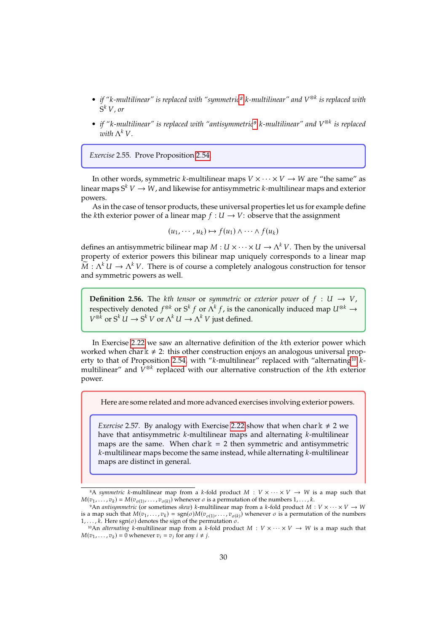- *if "-multilinear" is replaced with "symmetric[8](#page-31-0) -multilinear" and* ⊗ *is replaced with*  $S^k V$ , or
- *if "-multilinear" is replaced with "antisymmetric[9](#page-31-1) -multilinear" and* ⊗ *is replaced* with  $\Lambda^k V$ .

*Exercise* 2.55*.* Prove Proposition <sup>2</sup>.[54.](#page-30-0)

In other words, symmetric k-multilinear maps  $V \times \cdots \times V \rightarrow W$  are "the same" as linear maps  $S^k V \to W$ , and likewise for antisymmetric *k*-multilinear maps and exterior powers.

As in the case of tensor products, these universal properties let us for example define the kth exterior power of a linear map  $f : U \rightarrow V$ : observe that the assignment

$$
(u_1,\cdots,u_k)\mapsto f(u_1)\wedge\cdots\wedge f(u_k)
$$

defines an antisymmetric bilinear map  $M : U \times \cdots \times U \to \Lambda^k V$ . Then by the universal<br>property of exterior powers this bilinear map uniquely corresponds to a linear map property of exterior powers this bilinear map uniquely corresponds to a linear map  $\widetilde{M}: \Lambda^k U \to \Lambda^k V$ . There is of course a completely analogous construction for tensor and symmetric powers as well and symmetric powers as well.

**Definition 2.56.** The *kth tensor* or *symmetric* or *exterior power* of  $f : U \rightarrow V$ , respectively denoted  $f^{\otimes k}$  or  $S^k f$  or  $\Lambda^k f$ , is the canonically induced map  $U^{\otimes k} \to$ <br> $V^{\otimes k}$  or  $S^k U$ , or  $\Lambda^k U$ ,  $\Lambda^k V$  iver defined  $V^{\otimes k}$  or  $S^k U \to S^k V$  or  $\Lambda^k U \to \Lambda^k V$  just defined.

In Exercise <sup>2</sup>.[22](#page-22-1) we saw an alternative definition of the th exterior power which worked when char  $k \neq 2$ : this other construction enjoys an analogous universal prop-erty to that of Proposition 2.[54,](#page-30-0) with " $k$ -multilinear" replaced with "alternating<sup>[10](#page-31-2)</sup>  $k$ multilinear" and  $\dot{V}^{\otimes k}$  replaced with our alternative construction of the *k*th exterior power power.

Here are some related and more advanced exercises involving exterior powers.

*Exercise* 2.57. By analogy with Exercise 2.[22](#page-22-1) show that when char  $k \neq 2$  we have that antisymmetric  $k$ -multilinear maps and alternating  $k$ -multilinear maps are the same. When char  $k = 2$  then symmetric and antisymmetric  $k$ -multilinear maps become the same instead, while alternating  $k$ -multilinear maps are distinct in general.

<span id="page-31-0"></span><sup>&</sup>lt;sup>8</sup>A symmetric k-multilinear map from a k-fold product  $M: V \times \cdots \times V \rightarrow W$  is a map such that  $M(v_1, \ldots, v_k) = M(v_{\sigma(1)}, \ldots, v_{\sigma(k)})$  whenever  $\sigma$  is a permutation of the numbers  $1, \ldots, k$ .<br><sup>9</sup>An *antisummetric (or sometimes skezu*) *k*-multilinear man from a *k*-fold product M

<span id="page-31-1"></span><sup>&</sup>lt;sup>9</sup>An *antisymmetric* (or sometimes *skew*) *k*-multilinear map from a *k*-fold product  $M: V \times \cdots \times V \rightarrow W$ is a map such that  $M(v_1, \ldots, v_k) = \text{sgn}(\sigma)M(v_{\sigma(1)}, \ldots, v_{\sigma(k)})$  whenever  $\sigma$  is a permutation of the numbers  $k$ .<br>  $k$  Here son( $\sigma$ ) denotes the sign of the permutation  $\sigma$ is a map such that  $M(v_1, \ldots, v_k) = \text{sgn}(\sigma)M(v_{\sigma(1)}, \ldots, v_{\sigma(k)})$ <br>1,..., k. Here  $\text{sgn}(\sigma)$  denotes the sign of the permutation  $\sigma$ .<br><sup>10</sup>An *alternating* k-multilinear man from a k-fold production

<span id="page-31-2"></span><sup>&</sup>lt;sup>10</sup>An *alternating* k-multilinear map from a k-fold product  $M: V \times \cdots \times V \rightarrow W$  is a map such that  $M(v_1, \ldots, v_k) = 0$  whenever  $v_i = v_j$  for any  $i \neq j$ .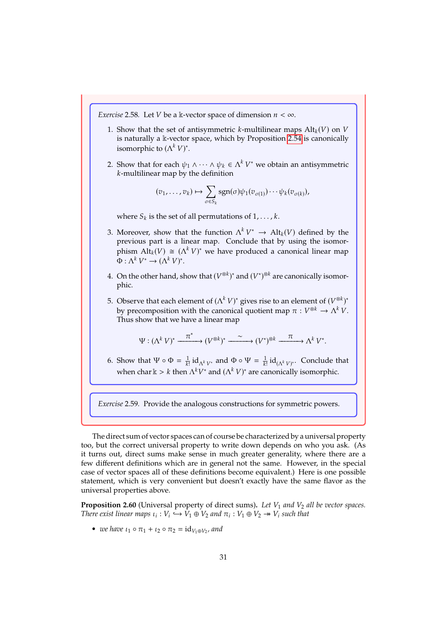*Exercise* 2.58*.* Let *V* be a k-vector space of dimension  $n < \infty$ .

- 1. Show that the set of antisymmetric k-multilinear maps  $\mathrm{Alt}_k(V)$  on V is naturally a <sup>k</sup>-vector space, which by Proposition <sup>2</sup>.[54](#page-30-0) is canonically isomorphic to  $(\Lambda^k V)^*$ .
- 2. Show that for each  $\psi_1 \wedge \cdots \wedge \psi_k \in \Lambda^k V^*$  we obtain an antisymmetric k-multilinear map by the definition  $k$ -multilinear map by the definition

$$
(v_1,\ldots,v_k)\mapsto \sum_{\sigma\in S_k}\operatorname{sgn}(\sigma)\psi_1(v_{\sigma(1)})\cdots\psi_k(v_{\sigma(k)}),
$$

where  $S_k$  is the set of all permutations of  $1, \ldots, k$ .

- 3. Moreover, show that the function  $\Lambda^k V^* \to \text{Alt}_k(V)$  defined by the previous part is a linear map. Conclude that by using the isomor-Moreover, show that the function  $\Lambda$   $V \rightarrow$  Alt<sub>k</sub>( $V$ ) defined by the previous part is a linear map. Conclude that by using the isomorphism  $\text{Alt}_k(V) \cong (\Lambda^k V)^*$  we have produced a canonical linear map  $\Phi : \Lambda^k V^* \to (\Lambda^k V)^*.$
- 4. On the other hand, show that  $(V^{\otimes k})^*$  and  $(V^*)^{\otimes k}$  are canonically isomor-<br>phic phic.

5. Observe that each element of  $(Λ<sup>k</sup> V)<sup>*</sup>$  gives rise to an element of  $(V<sup>®k</sup>)<sup>*</sup>$ <br>by precomposition with the canonical quotient map  $π : V<sup>®k</sup> → Λ<sup>k</sup> V$ . by precomposition with the canonical quotient map  $\pi : V^{\otimes k} \to \Lambda^k V$ .<br>Thus show that we have a linear map Thus show that we have a linear map

$$
\Psi: (\Lambda^k V)^* \xrightarrow{\pi^*} (V^{\otimes k})^* \xrightarrow{\sim} (V^*)^{\otimes k} \xrightarrow{\pi} \Lambda^k V^*.
$$

6. Show that  $\Psi \circ \Phi = \frac{1}{k!} \mathrm{id}_{\Lambda^k V^*}$  and  $\Phi \circ \Psi = \frac{1}{k!} \mathrm{id}_{(\Lambda^k V)^*}$ . Conclude that when char  $\Bbbk > k$  then  $\Lambda^k V^*$  and  $(\Lambda^k V)^*$  are canonically isomorphic.

*Exercise* 2.59*.* Provide the analogous constructions for symmetric powers.

The direct sum of vector spaces can of course be characterized by a universal property too, but the correct universal property to write down depends on who you ask. (As it turns out, direct sums make sense in much greater generality, where there are a few different definitions which are in general not the same. However, in the special case of vector spaces all of these definitions become equivalent.) Here is one possible statement, which is very convenient but doesn't exactly have the same flavor as the universal properties above.

<span id="page-32-0"></span>**Proposition 2.60** (Universal property of direct sums). Let  $V_1$  and  $V_2$  all be vector spaces. *There exist linear maps*  $\iota_i : V_i \xrightarrow{\rightarrow} V_1 \oplus V_2$  and  $\pi_i : V_1 \oplus V_2 \twoheadrightarrow V_i$  such that

• *we have*  $u_1 \circ \pi_1 + u_2 \circ \pi_2 = id_{V_1 \oplus V_2}$ , and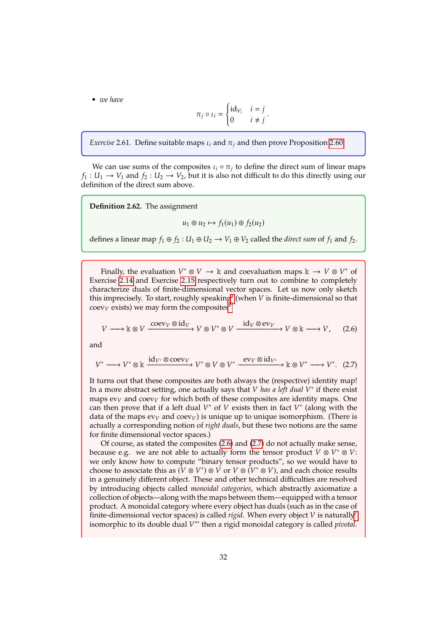• *we have*

$$
\pi_j \circ \iota_i = \begin{cases} \mathrm{id}_{V_i} & i = j \\ 0 & i \neq j \end{cases}.
$$

*Exercise* 2.61. Define suitable maps  $\iota_i$  and  $\pi_j$  and then prove Proposition 2.[60.](#page-32-0)

We can use sums of the composites  $\iota_i \circ \pi_j$  to define the direct sum of linear maps  $f_1 : U_1 \to V_1$  and  $f_2 : U_2 \to V_2$ , but it is also not difficult to do this directly using our definition of the direct sum above.

**Definition 2.62.** The assignment

<span id="page-33-1"></span><span id="page-33-0"></span>
$$
u_1 \oplus u_2 \mapsto f_1(u_1) \oplus f_2(u_2)
$$

defines a linear map  $f_1 \oplus f_2 : U_1 \oplus U_2 \rightarrow V_1 \oplus V_2$  called the *direct sum* of  $f_1$  and  $f_2$ .

Finally, the evaluation  $V^* \otimes V \to \mathbb{k}$  and coevaluation maps  $\mathbb{k} \to V \otimes V^*$  of the coevaluation of  $\mathbb{R}^N$  and Exercise 2.15 respectively turn out to combine to completely Exercise <sup>2</sup>.[14](#page-20-1) and Exercise <sup>2</sup>.[15](#page-20-2) respectively turn out to combine to completely characterize duals of finite-dimensional vector spaces. Let us now only sketch this imprecisely. To st[a](#page-35-0)rt, roughly speaking<sup>*a*</sup> (when *V* is finite-dimensional so that  $\cos y$ ,  $\cos(15x)$  we may form the composites<sup>b</sup>  $\operatorname{coev}_V$  exists) we may form the composites<sup>*[b](#page-35-1)*</sup>

$$
V \longrightarrow \mathbb{k} \otimes V \xrightarrow{\text{coev}_V \otimes \text{id}_V} V \otimes V^* \otimes V \xrightarrow{\text{id}_V \otimes \text{ev}_V} V \otimes \mathbb{k} \longrightarrow V, \quad (2.6)
$$

and

$$
V^* \longrightarrow V^* \otimes \mathbb{k} \xrightarrow{\mathrm{id}_{V^*} \otimes \mathrm{coev}_V} V^* \otimes V \otimes V^* \xrightarrow{\mathrm{ev}_V \otimes \mathrm{id}_{V^*}} \mathbb{k} \otimes V^* \longrightarrow V^*.
$$
 (2.7)

It turns out that these composites are both always the (respective) identity map! In a more abstract setting, one actually says that *V* has a left dual  $V^*$  if there exist<br>mans evy and coevy for which both of these composites are identity mans. One maps  $ev_V$  and coev<sub>V</sub> for which both of these composites are identity maps. One can then prove that if a left dual  $V^*$  of  $V$  exists then in fact  $V^*$  (along with the data of the mans evy and coevy) is unique up to unique isomorphism. (There is data of the maps  $ev_V$  and  $coev_V$ ) is unique up to unique isomorphism. (There is actually a corresponding notion of *right duals*, but these two notions are the same for finite dimensional vector spaces.)

Of course, as stated the composites [\(2.6\)](#page-33-0) and [\(2.7\)](#page-33-1) do not actually make sense, because e.g. we are not able to actually form the tensor product  $V \otimes V^* \otimes V$ : we only know how to compute "binary tensor products", so we would have to choose to associate this as  $(V \otimes V^*) \otimes V$  or  $V \otimes (V^* \otimes V)$ , and each choice results<br>in a genuinely different object. These and other technical difficulties are resolved in a genuinely different object. These and other technical difficulties are resolved by introducing objects called *monoidal categories*, which abstractly axiomatize a collection of objects—along with the maps between them—equipped with a tensor product. A monoidal category where every object has duals (such as in the case of finite-dimensional ve[c](#page-35-2)tor spaces) is called *rigid*. When every object  $V$  is naturally<sup>c</sup> isomorphic to its double dual *V*<sup>\*\*</sup> then a rigid monoidal category is called *pivotal*.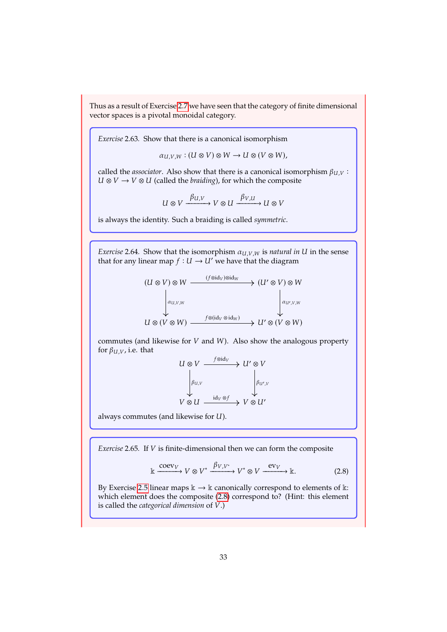Thus as a result of Exercise [2](#page-18-4).<sup>7</sup> we have seen that the category of finite dimensional vector spaces is a pivotal monoidal category.

<span id="page-34-1"></span>*Exercise* 2.63*.* Show that there is a canonical isomorphism

 $\alpha_{U,V,W}$ :  $(U \otimes V) \otimes W \rightarrow U \otimes (V \otimes W)$ ,

called the *associator*. Also show that there is a canonical isomorphism  $\beta_{U,V}$ :  $U \otimes V \rightarrow V \otimes U$  (called the *braiding*), for which the composite

$$
U \otimes V \xrightarrow{\beta_{U,V}} V \otimes U \xrightarrow{\beta_{V,U}} U \otimes V
$$

is always the identity. Such a braiding is called *symmetric*.

*Exercise* 2.64. Show that the isomorphism  $a_{U,V,W}$  is *natural in* U in the sense that for any linear map  $f : U \to U'$  we have that the diagram

$$
(U \otimes V) \otimes W \xrightarrow{\qquad (f \otimes \mathrm{id}_V) \otimes \mathrm{id}_W} (U' \otimes V) \otimes W
$$
  
\n
$$
\downarrow a_{U,V,W}
$$
  
\n
$$
U \otimes (V \otimes W) \xrightarrow{\qquad f \otimes (\mathrm{id}_V \otimes \mathrm{id}_W)} U' \otimes (V \otimes W)
$$

commutes (and likewise for  $V$  and  $W$ ). Also show the analogous property for  $\beta_{U,V}$ , i.e. that

$$
\begin{array}{ccc}\nU \otimes V & \xrightarrow{f \otimes \text{id}_V} & U' \otimes V \\
\downarrow^{f \otimes U} & & \downarrow^{f \otimes U, V} \\
V \otimes U & \xrightarrow{\text{id}_V \otimes f} & V \otimes U'\n\end{array}
$$

always commutes (and likewise for  $U$ ).

*Exercise* 2.65*.* If *V* is finite-dimensional then we can form the composite

<span id="page-34-0"></span>
$$
\mathbb{k} \xrightarrow{\text{coev}_V} V \otimes V^* \xrightarrow{\beta_{V,V^*}} V^* \otimes V \xrightarrow{\text{ev}_V} \mathbb{k}.
$$
 (2.8)

By Exercise [2](#page-17-4).5 linear maps  $\Bbbk \to \Bbbk$  canonically correspond to elements of  $\Bbbk$ : which element does the composite [\(2.8\)](#page-34-0) correspond to? (Hint: this element is called the *categorical dimension* of  $V$ .)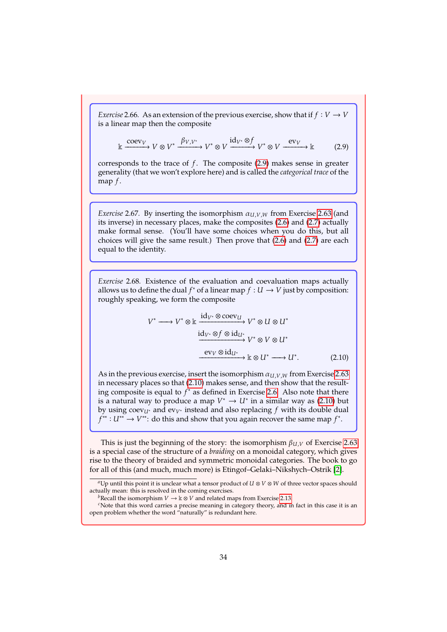*Exercise* 2.66*.* As an extension of the previous exercise, show that if  $f: V \to V$ is a linear map then the composite

<span id="page-35-3"></span>
$$
\mathbb{k} \xrightarrow{\text{coev}_V} V \otimes V^* \xrightarrow{\beta_{V,V^*}} V^* \otimes V \xrightarrow{\text{id}_{V^*} \otimes f} V^* \otimes V \xrightarrow{\text{ev}_V} \mathbb{k} \tag{2.9}
$$

corresponds to the trace of  $f$ . The composite  $(2.9)$  makes sense in greater generality (that we won't explore here) and is called the *categorical trace* of the map  $f$ .

*Exercise* 2.67. By inserting the isomorphism  $\alpha_{U,V,W}$  from Exercise 2.[63](#page-34-1) (and its inverse) in necessary places, make the composites [\(2.6\)](#page-33-0) and [\(2.7\)](#page-33-1) actually make formal sense. (You'll have some choices when you do this, but all choices will give the same result.) Then prove that [\(2.6\)](#page-33-0) and [\(2.7\)](#page-33-1) are each equal to the identity.

*Exercise* 2.68*.* Existence of the evaluation and coevaluation maps actually allows us to define the dual  $f^*$  of a linear map  $f: U \to V$  just by composition:<br>roughly speaking we form the composite roughly speaking, we form the composite

<span id="page-35-4"></span>
$$
V^* \longrightarrow V^* \otimes \mathbb{k} \xrightarrow{\mathrm{id}_{V^*} \otimes \mathrm{coev}_{U}} V^* \otimes U \otimes U^*
$$
  

$$
\xrightarrow{\mathrm{id}_{V^*} \otimes f \otimes \mathrm{id}_{U^*}} V^* \otimes V \otimes U^*
$$
  

$$
\xrightarrow{\mathrm{ev}_{V} \otimes \mathrm{id}_{U^*}} \mathbb{k} \otimes U^* \longrightarrow U^*.
$$
 (2.10)

As in the previous exercise, insert the isomorphism  $\alpha_{U,V,W}$  from Exercise 2.[63](#page-34-1) in necessary places so that [\(2.10\)](#page-35-4) makes sense, and then show that the resulting composite is equal to  $f^*$  as defined in Exercise 2.[6.](#page-18-3) Also note that there is a natural way to produce a map  $V^* \rightarrow U^*$  in a similar way as (2.10) but is a natural way to produce a map  $V^* \to U^*$  in a similar way as [\(2.10\)](#page-35-4) but<br>by using coevy, and evy, instead and also replacing f with its double dual by using  $\operatorname{coev}_{U^*}$  and  $\operatorname{ev}_{V^*}$  instead and also replacing f with its double dual  $f^{**}: U^{**}: \mathcal{A} \to U^{**}$  do this and show that you again recover the same man  $f^*$  $\overline{a}$ \*\* :  $U^{**}$  →  $V^{**}$ : do this and show that you again recover the same map  $f^*$ .

This is just the beginning of the story: the isomorphism  $\beta_{U,V}$  of Exercise 2.[63](#page-34-1) is a special case of the structure of a *braiding* on a monoidal category, which gives rise to the theory of braided and symmetric monoidal categories. The book to go for all of this (and much, much more) is Etingof–Gelaki–Nikshych–Ostrik [\[2\]](#page-36-3).

<span id="page-35-0"></span> $a \cup a$ <sup>a</sup>Up until this point it is unclear what a tensor product of  $U \otimes V \otimes W$  of three vector spaces should actually mean: this is resolved in the coming exercises.

<span id="page-35-2"></span><span id="page-35-1"></span>*b*Recall the isomorphism  $V \to \mathbb{k} \otimes V$  and related maps from Exercise 2.[13.](#page-20-3)

*c*Note that this word carries a precise meaning in category theory, and in fact in this case it is an open problem whether the word "naturally" is redundant here.